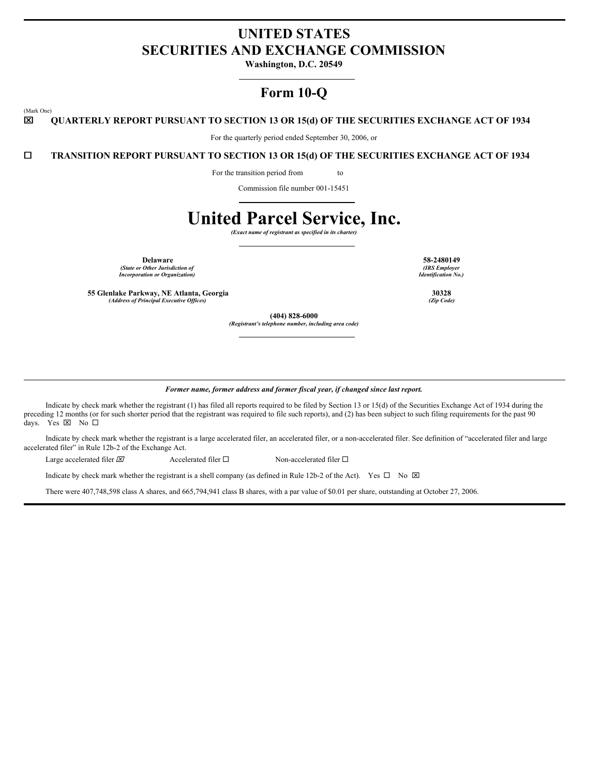# **UNITED STATES SECURITIES AND EXCHANGE COMMISSION**

**Washington, D.C. 20549**

## **Form 10-Q**

(Mark One)

#### x **QUARTERLY REPORT PURSUANT TO SECTION 13 OR 15(d) OF THE SECURITIES EXCHANGE ACT OF 1934**

For the quarterly period ended September 30, 2006, or

¨ **TRANSITION REPORT PURSUANT TO SECTION 13 OR 15(d) OF THE SECURITIES EXCHANGE ACT OF 1934**

For the transition period from to

Commission file number 001-15451

# **United Parcel Service, Inc.**

*(Exact name of registrant as specified in its charter)*

**Delaware 58-2480149** *(State or Other Jurisdiction of Incorporation or Organization)*

**55 Glenlake Parkway, NE Atlanta, Georgia 30328**  $(A$ *ddress of Principal Executive Offices*)

*(IRS Employer Identification No.)*

*Former name, former address and former fiscal year, if changed since last report.*

**(404) 828-6000** *(Registrant's telephone number, including area code)*

Indicate by check mark whether the registrant (1) has filed all reports required to be filed by Section 13 or 15(d) of the Securities Exchange Act of 1934 during the preceding 12 months (or for such shorter period that the registrant was required to file such reports), and (2) has been subject to such filing requirements for the past 90 days. Yes  $\boxtimes$  No  $\square$ 

Indicate by check mark whether the registrant is a large accelerated filer, an accelerated filer, or a non-accelerated filer. See definition of "accelerated filer and large accelerated filer" in Rule 12b-2 of the Exchange Act.

Large accelerated filer  $\boxtimes$  Accelerated filer  $\square$  Non-accelerated filer  $\square$ 

Indicate by check mark whether the registrant is a shell company (as defined in Rule 12b-2 of the Act). Yes  $\Box$  No  $\boxtimes$ 

There were 407,748,598 class A shares, and 665,794,941 class B shares, with a par value of \$0.01 per share, outstanding at October 27, 2006.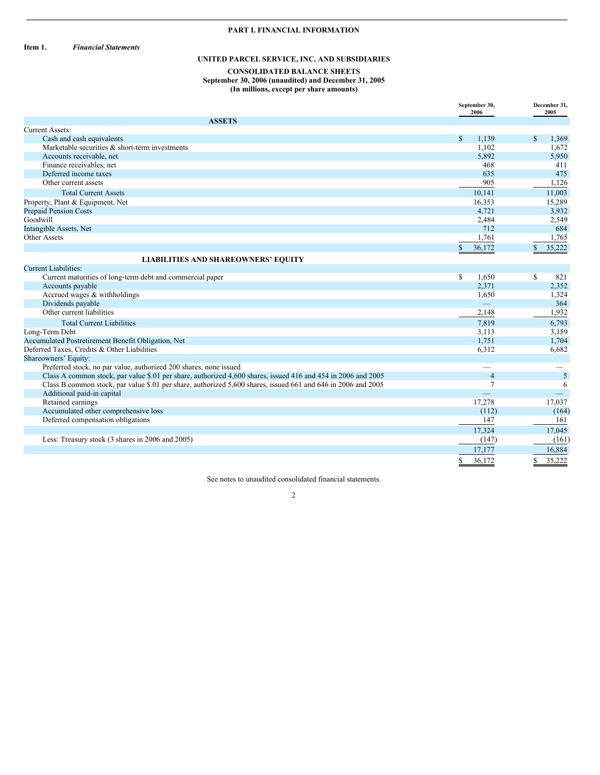### **PART I. FINANCIAL INFORMATION**

**Item 1.** *Financial Statements*

### **UNITED PARCEL SERVICE, INC. AND SUBSIDIARIES**

#### **CONSOLIDATED BALANCE SHEETS September 30, 2006 (unaudited) and December 31, 2005 (In millions, except per share amounts)**

|                                                                                                               | September 30,<br>2006   | December 31,<br>2005   |
|---------------------------------------------------------------------------------------------------------------|-------------------------|------------------------|
| <b>ASSETS</b>                                                                                                 |                         |                        |
| <b>Current Assets:</b>                                                                                        |                         |                        |
| Cash and cash equivalents                                                                                     | $\mathcal{S}$<br>1,139  | $\mathbf{s}$<br>1,369  |
| Marketable securities & short-term investments                                                                | 1,102                   | 1,672                  |
| Accounts receivable, net                                                                                      | 5,892                   | 5,950                  |
| Finance receivables, net                                                                                      | 468                     | 411                    |
| Deferred income taxes                                                                                         | 635                     | 475                    |
| Other current assets                                                                                          | 905                     | 1,126                  |
| <b>Total Current Assets</b>                                                                                   | 10,141                  | 11,003                 |
| Property, Plant & Equipment, Net                                                                              | 16,353                  | 15,289                 |
| <b>Prepaid Pension Costs</b>                                                                                  | 4,721                   | 3,932                  |
| Goodwill                                                                                                      | 2,484                   | 2,549                  |
| Intangible Assets, Net                                                                                        | 712                     | 684                    |
| Other Assets                                                                                                  | 1,761                   | 1,765                  |
|                                                                                                               | 36,172<br><sup>\$</sup> | 35,222<br>$\mathbf{s}$ |
| <b>LIABILITIES AND SHAREOWNERS' EQUITY</b>                                                                    |                         |                        |
| <b>Current Liabilities:</b>                                                                                   |                         |                        |
| Current maturities of long-term debt and commercial paper                                                     | <sup>\$</sup><br>1,650  | S.<br>821              |
| Accounts payable                                                                                              | 2,371                   | 2,352                  |
| Accrued wages & withholdings                                                                                  | 1,650                   | 1,324                  |
| Dividends payable                                                                                             |                         | 364                    |
| Other current liabilities                                                                                     | 2,148                   | 1,932                  |
| <b>Total Current Liabilities</b>                                                                              | 7,819                   | 6,793                  |
| Long-Term Debt                                                                                                | 3,113                   | 3,159                  |
| Accumulated Postretirement Benefit Obligation, Net                                                            | 1,751                   | 1,704                  |
| Deferred Taxes, Credits & Other Liabilities                                                                   | 6,312                   | 6,682                  |
| Shareowners' Equity:                                                                                          |                         |                        |
| Preferred stock, no par value, authorized 200 shares, none issued                                             |                         |                        |
| Class A common stock, par value \$.01 per share, authorized 4,600 shares, issued 416 and 454 in 2006 and 2005 | $\overline{4}$          | 5                      |
| Class B common stock, par value \$.01 per share, authorized 5,600 shares, issued 661 and 646 in 2006 and 2005 | $\overline{7}$          | 6                      |
| Additional paid-in capital                                                                                    |                         |                        |
| Retained earnings                                                                                             | 17,278                  | 17,037                 |
| Accumulated other comprehensive loss                                                                          | (112)                   | (164)                  |
| Deferred compensation obligations                                                                             | 147                     | 161                    |
|                                                                                                               | 17,324                  | 17,045                 |
| Less: Treasury stock (3 shares in 2006 and 2005)                                                              | (147)                   | (161)                  |
|                                                                                                               | 17,177                  | 16,884                 |
|                                                                                                               | \$<br>36,172            | 35,222                 |
|                                                                                                               |                         |                        |

See notes to unaudited consolidated financial statements.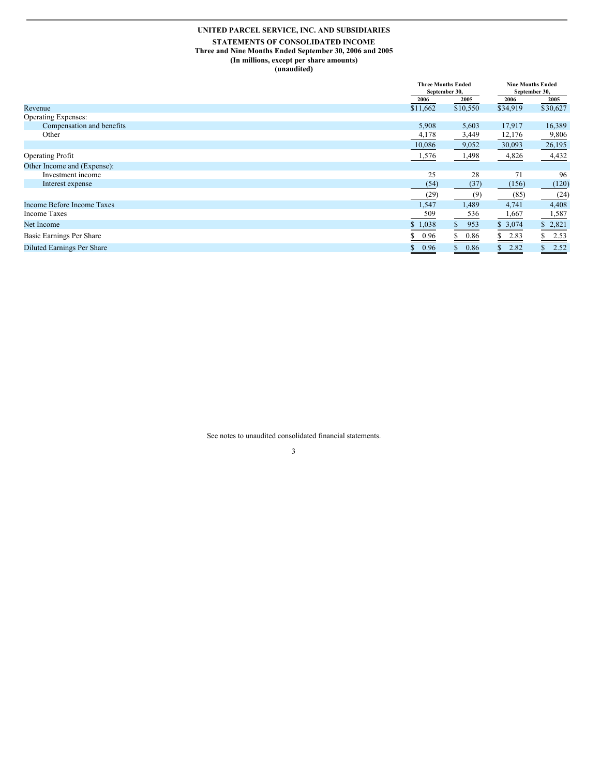### **UNITED PARCEL SERVICE, INC. AND SUBSIDIARIES**

#### **STATEMENTS OF CONSOLIDATED INCOME Three and Nine Months Ended September 30, 2006 and 2005 (In millions, except per share amounts) (unaudited)**

|                                   |          | <b>Three Months Ended</b><br>September 30, |          | <b>Nine Months Ended</b><br>September 30, |
|-----------------------------------|----------|--------------------------------------------|----------|-------------------------------------------|
|                                   | 2006     | 2005                                       | 2006     | 2005                                      |
| Revenue                           | \$11,662 | \$10,550                                   | \$34,919 | \$30,627                                  |
| Operating Expenses:               |          |                                            |          |                                           |
| Compensation and benefits         | 5,908    | 5,603                                      | 17,917   | 16,389                                    |
| Other                             | 4,178    | 3,449                                      | 12,176   | 9,806                                     |
|                                   | 10,086   | 9,052                                      | 30,093   | 26,195                                    |
| <b>Operating Profit</b>           | 1,576    | 1,498                                      | 4,826    | 4,432                                     |
| Other Income and (Expense):       |          |                                            |          |                                           |
| Investment income                 | 25       | 28                                         | 71       | 96                                        |
| Interest expense                  | (54)     | (37)                                       | (156)    | (120)                                     |
|                                   | (29)     | (9)                                        | (85)     | (24)                                      |
| Income Before Income Taxes        | 1,547    | 1,489                                      | 4,741    | 4,408                                     |
| Income Taxes                      | 509      | 536                                        | 1,667    | 1,587                                     |
| Net Income                        | \$1,038  | 953<br>\$                                  | \$3,074  | \$2,821                                   |
| Basic Earnings Per Share          | 0.96     | 0.86                                       | 2.83     | 2.53                                      |
| <b>Diluted Earnings Per Share</b> | 0.96     | 0.86<br>S.                                 | 2.82     | 2.52                                      |

See notes to unaudited consolidated financial statements.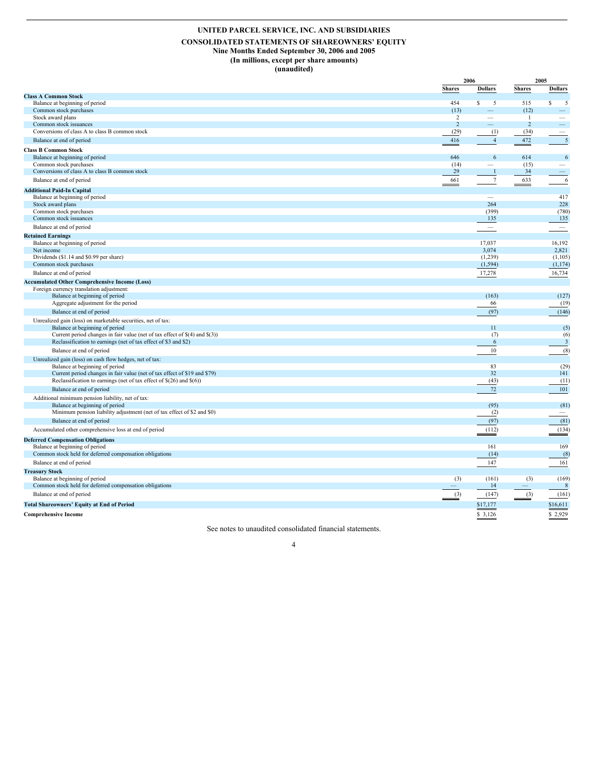### **UNITED PARCEL SERVICE, INC. AND SUBSIDIARIES**

#### **CONSOLIDATED STATEMENTS OF SHAREOWNERS' EQUITY Nine Months Ended September 30, 2006 and 2005**

**(In millions, except per share amounts)**

**(unaudited)**

|                                                                                                                                                        |                | 2006            |                | 2005                           |
|--------------------------------------------------------------------------------------------------------------------------------------------------------|----------------|-----------------|----------------|--------------------------------|
|                                                                                                                                                        | <b>Shares</b>  | <b>Dollars</b>  | <b>Shares</b>  | <b>Dollars</b>                 |
| <b>Class A Common Stock</b>                                                                                                                            |                |                 |                |                                |
| Balance at beginning of period                                                                                                                         | 454            | S<br>5          | 515            | S<br>5                         |
| Common stock purchases                                                                                                                                 | (13)           |                 | (12)           |                                |
| Stock award plans                                                                                                                                      | 2              |                 | -1             |                                |
| Common stock issuances                                                                                                                                 | $\overline{c}$ |                 | $\overline{2}$ |                                |
| Conversions of class A to class B common stock                                                                                                         | (29)           | (1)             | (34)           |                                |
| Balance at end of period                                                                                                                               | 416            | $\overline{4}$  | 472            | 5                              |
| <b>Class B Common Stock</b>                                                                                                                            |                |                 |                |                                |
| Balance at beginning of period                                                                                                                         | 646            | 6               | 614            | 6                              |
| Common stock purchases                                                                                                                                 | (14)           |                 | (15)           |                                |
| Conversions of class A to class B common stock                                                                                                         | 29             | $\mathbf{1}$    | 34             | $\equiv$                       |
| Balance at end of period                                                                                                                               | 661            | $7\phantom{.0}$ | 633            | 6                              |
| <b>Additional Paid-In Capital</b>                                                                                                                      |                |                 |                |                                |
| Balance at beginning of period                                                                                                                         |                |                 |                | 417                            |
| Stock award plans                                                                                                                                      |                | 264             |                | 228                            |
| Common stock purchases                                                                                                                                 |                | (399)           |                | (780)                          |
| Common stock issuances                                                                                                                                 |                | 135             |                | 135                            |
| Balance at end of period                                                                                                                               |                |                 |                |                                |
| <b>Retained Earnings</b>                                                                                                                               |                |                 |                |                                |
| Balance at beginning of period                                                                                                                         |                | 17,037          |                | 16,192                         |
| Net income                                                                                                                                             |                | 3,074           |                | 2,821                          |
| Dividends (\$1.14 and \$0.99 per share)                                                                                                                |                | (1,239)         |                | (1,105)                        |
| Common stock purchases                                                                                                                                 |                | (1, 594)        |                | (1,174)                        |
| Balance at end of period                                                                                                                               |                | 17,278          |                | 16,734                         |
| <b>Accumulated Other Comprehensive Income (Loss)</b>                                                                                                   |                |                 |                |                                |
| Foreign currency translation adjustment:                                                                                                               |                |                 |                |                                |
| Balance at beginning of period                                                                                                                         |                | (163)           |                | (127)                          |
| Aggregate adjustment for the period                                                                                                                    |                | 66              |                | (19)                           |
| Balance at end of period                                                                                                                               |                | (97)            |                | (146)                          |
| Unrealized gain (loss) on marketable securities, net of tax:                                                                                           |                |                 |                |                                |
| Balance at beginning of period                                                                                                                         |                | 11              |                | (5)                            |
| Current period changes in fair value (net of tax effect of $$(4)$ and $$(3))$ )<br>Reclassification to earnings (net of tax effect of \$3 and \$2)     |                | (7)<br>6        |                | (6)<br>$\overline{\mathbf{3}}$ |
|                                                                                                                                                        |                |                 |                |                                |
| Balance at end of period                                                                                                                               |                | 10              |                | (8)                            |
| Unrealized gain (loss) on cash flow hedges, net of tax:                                                                                                |                |                 |                |                                |
| Balance at beginning of period                                                                                                                         |                | 83<br>32        |                | (29)<br>141                    |
| Current period changes in fair value (net of tax effect of \$19 and \$79)<br>Reclassification to earnings (net of tax effect of $\S(26)$ and $\S(6)$ ) |                | (43)            |                | (11)                           |
|                                                                                                                                                        |                | 72              |                | 101                            |
| Balance at end of period                                                                                                                               |                |                 |                |                                |
| Additional minimum pension liability, net of tax:                                                                                                      |                |                 |                |                                |
| Balance at beginning of period<br>Minimum pension liability adjustment (net of tax effect of \$2 and \$0)                                              |                | (95)            |                | (81)                           |
|                                                                                                                                                        |                | (2)             |                |                                |
| Balance at end of period                                                                                                                               |                | (97)            |                | (81)                           |
| Accumulated other comprehensive loss at end of period                                                                                                  |                | (112)           |                | (134)                          |
| <b>Deferred Compensation Obligations</b>                                                                                                               |                |                 |                |                                |
| Balance at beginning of period                                                                                                                         |                | 161             |                | 169                            |
| Common stock held for deferred compensation obligations                                                                                                |                | (14)            |                | (8)                            |
| Balance at end of period                                                                                                                               |                | 147             |                | 161                            |
| <b>Treasury Stock</b>                                                                                                                                  |                |                 |                |                                |
| Balance at beginning of period                                                                                                                         | (3)            | (161)           | (3)            | (169)                          |
| Common stock held for deferred compensation obligations                                                                                                |                | 14              |                | $\boldsymbol{8}$               |
| Balance at end of period                                                                                                                               | (3)            | (147)           | (3)            | (161)                          |
| <b>Total Shareowners' Equity at End of Period</b>                                                                                                      |                | \$17,177        |                | \$16,611                       |
|                                                                                                                                                        |                |                 |                | \$2,929                        |
| <b>Comprehensive Income</b>                                                                                                                            |                | \$3,126         |                |                                |

See notes to unaudited consolidated financial statements.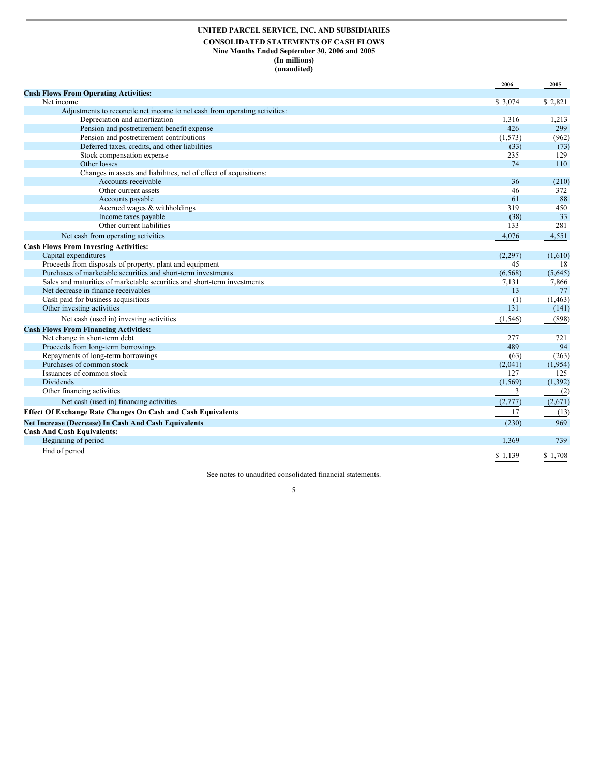### **UNITED PARCEL SERVICE, INC. AND SUBSIDIARIES CONSOLIDATED STATEMENTS OF CASH FLOWS Nine Months Ended September 30, 2006 and 2005 (In millions) (unaudited)**

| <b>Cash Flows From Operating Activities:</b><br>\$2,821<br>Net income<br>\$ 3,074<br>Adjustments to reconcile net income to net cash from operating activities:<br>Depreciation and amortization<br>1.316<br>1,213<br>Pension and postretirement benefit expense<br>426<br>299<br>Pension and postretirement contributions<br>(1,573)<br>(962)<br>Deferred taxes, credits, and other liabilities<br>(73)<br>(33) |
|------------------------------------------------------------------------------------------------------------------------------------------------------------------------------------------------------------------------------------------------------------------------------------------------------------------------------------------------------------------------------------------------------------------|
|                                                                                                                                                                                                                                                                                                                                                                                                                  |
|                                                                                                                                                                                                                                                                                                                                                                                                                  |
|                                                                                                                                                                                                                                                                                                                                                                                                                  |
|                                                                                                                                                                                                                                                                                                                                                                                                                  |
|                                                                                                                                                                                                                                                                                                                                                                                                                  |
|                                                                                                                                                                                                                                                                                                                                                                                                                  |
|                                                                                                                                                                                                                                                                                                                                                                                                                  |
| Stock compensation expense<br>129<br>235                                                                                                                                                                                                                                                                                                                                                                         |
| Other losses<br>74<br>110                                                                                                                                                                                                                                                                                                                                                                                        |
| Changes in assets and liabilities, net of effect of acquisitions:                                                                                                                                                                                                                                                                                                                                                |
| Accounts receivable<br>36<br>(210)                                                                                                                                                                                                                                                                                                                                                                               |
| Other current assets<br>46<br>372                                                                                                                                                                                                                                                                                                                                                                                |
| 88<br>61<br>Accounts payable                                                                                                                                                                                                                                                                                                                                                                                     |
| Accrued wages & withholdings<br>319<br>450                                                                                                                                                                                                                                                                                                                                                                       |
| Income taxes payable<br>33<br>(38)                                                                                                                                                                                                                                                                                                                                                                               |
| Other current liabilities<br>281<br>133                                                                                                                                                                                                                                                                                                                                                                          |
| Net cash from operating activities<br>4,076<br>4,551                                                                                                                                                                                                                                                                                                                                                             |
| <b>Cash Flows From Investing Activities:</b>                                                                                                                                                                                                                                                                                                                                                                     |
| Capital expenditures<br>(2,297)<br>(1,610)                                                                                                                                                                                                                                                                                                                                                                       |
| Proceeds from disposals of property, plant and equipment<br>45<br>18                                                                                                                                                                                                                                                                                                                                             |
| Purchases of marketable securities and short-term investments<br>(6, 568)<br>(5,645)                                                                                                                                                                                                                                                                                                                             |
| Sales and maturities of marketable securities and short-term investments<br>7,131<br>7,866                                                                                                                                                                                                                                                                                                                       |
| 13<br>77<br>Net decrease in finance receivables                                                                                                                                                                                                                                                                                                                                                                  |
| Cash paid for business acquisitions<br>(1)<br>(1, 463)                                                                                                                                                                                                                                                                                                                                                           |
| Other investing activities<br>131<br>(141)                                                                                                                                                                                                                                                                                                                                                                       |
| Net cash (used in) investing activities<br>(898)<br>(1, 546)                                                                                                                                                                                                                                                                                                                                                     |
| <b>Cash Flows From Financing Activities:</b>                                                                                                                                                                                                                                                                                                                                                                     |
| Net change in short-term debt<br>721<br>277                                                                                                                                                                                                                                                                                                                                                                      |
| Proceeds from long-term borrowings<br>489<br>94                                                                                                                                                                                                                                                                                                                                                                  |
| Repayments of long-term borrowings<br>(63)<br>(263)                                                                                                                                                                                                                                                                                                                                                              |
| Purchases of common stock<br>(2,041)<br>(1,954)                                                                                                                                                                                                                                                                                                                                                                  |
| Issuances of common stock<br>127<br>125                                                                                                                                                                                                                                                                                                                                                                          |
| <b>Dividends</b><br>(1, 569)<br>(1, 392)                                                                                                                                                                                                                                                                                                                                                                         |
| Other financing activities<br>(2)<br>3                                                                                                                                                                                                                                                                                                                                                                           |
| (2,777)<br>(2,671)<br>Net cash (used in) financing activities                                                                                                                                                                                                                                                                                                                                                    |
| <b>Effect Of Exchange Rate Changes On Cash and Cash Equivalents</b><br>17<br>(13)                                                                                                                                                                                                                                                                                                                                |
| <b>Net Increase (Decrease) In Cash And Cash Equivalents</b><br>969<br>(230)                                                                                                                                                                                                                                                                                                                                      |
| <b>Cash And Cash Equivalents:</b>                                                                                                                                                                                                                                                                                                                                                                                |
| Beginning of period<br>1,369<br>739                                                                                                                                                                                                                                                                                                                                                                              |
| End of period<br>\$1,139<br>\$1,708                                                                                                                                                                                                                                                                                                                                                                              |

See notes to unaudited consolidated financial statements.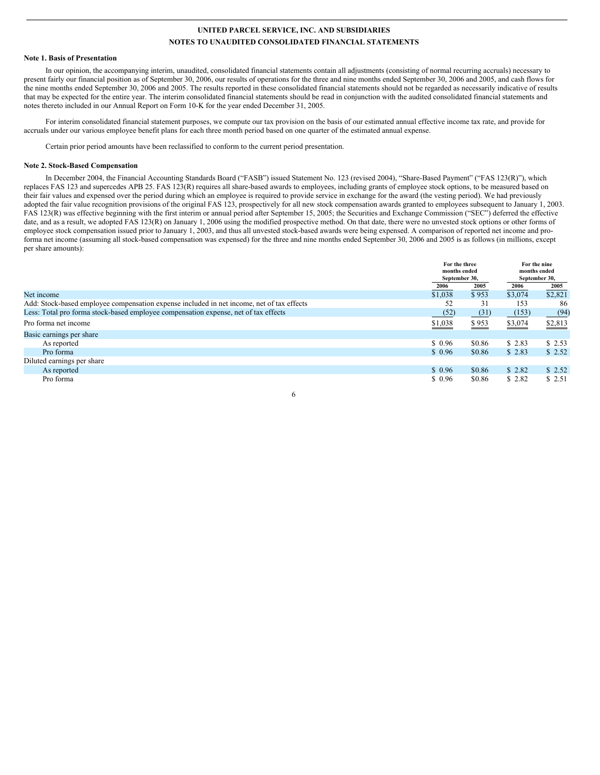#### **Note 1. Basis of Presentation**

In our opinion, the accompanying interim, unaudited, consolidated financial statements contain all adjustments (consisting of normal recurring accruals) necessary to present fairly our financial position as of September 30, 2006, our results of operations for the three and nine months ended September 30, 2006 and 2005, and cash flows for the nine months ended September 30, 2006 and 2005. The results reported in these consolidated financial statements should not be regarded as necessarily indicative of results that may be expected for the entire year. The interim consolidated financial statements should be read in conjunction with the audited consolidated financial statements and notes thereto included in our Annual Report on Form 10-K for the year ended December 31, 2005.

For interim consolidated financial statement purposes, we compute our tax provision on the basis of our estimated annual effective income tax rate, and provide for accruals under our various employee benefit plans for each three month period based on one quarter of the estimated annual expense.

Certain prior period amounts have been reclassified to conform to the current period presentation.

#### **Note 2. Stock-Based Compensation**

In December 2004, the Financial Accounting Standards Board ("FASB") issued Statement No. 123 (revised 2004), "Share-Based Payment" ("FAS 123(R)"), which replaces FAS 123 and supercedes APB 25. FAS 123(R) requires all share-based awards to employees, including grants of employee stock options, to be measured based on their fair values and expensed over the period during which an employee is required to provide service in exchange for the award (the vesting period). We had previously adopted the fair value recognition provisions of the original FAS 123, prospectively for all new stock compensation awards granted to employees subsequent to January 1, 2003. FAS 123(R) was effective beginning with the first interim or annual period after September 15, 2005; the Securities and Exchange Commission ("SEC") deferred the effective date, and as a result, we adopted FAS 123(R) on January 1, 2006 using the modified prospective method. On that date, there were no unvested stock options or other forms of employee stock compensation issued prior to January 1, 2003, and thus all unvested stock-based awards were being expensed. A comparison of reported net income and proforma net income (assuming all stock-based compensation was expensed) for the three and nine months ended September 30, 2006 and 2005 is as follows (in millions, except per share amounts):

|                                                                                           |         | For the three<br>months ended<br>September 30, |         | For the nine<br>months ended<br>September 30, |  |
|-------------------------------------------------------------------------------------------|---------|------------------------------------------------|---------|-----------------------------------------------|--|
|                                                                                           | 2006    | 2005                                           | 2006    | 2005                                          |  |
| Net income                                                                                | \$1,038 | \$953                                          | \$3,074 | \$2,821                                       |  |
| Add: Stock-based employee compensation expense included in net income, net of tax effects | 52      | 31                                             | 153     | 86                                            |  |
| Less: Total pro forma stock-based employee compensation expense, net of tax effects       | (52)    | (31)                                           | (153)   | (94)                                          |  |
| Pro forma net income                                                                      | \$1,038 | \$953                                          | \$3,074 | \$2,813                                       |  |
| Basic earnings per share                                                                  |         |                                                |         |                                               |  |
| As reported                                                                               | \$0.96  | \$0.86                                         | \$2.83  | \$2.53                                        |  |
| Pro forma                                                                                 | \$0.96  | \$0.86                                         | \$2.83  | \$2.52                                        |  |
| Diluted earnings per share                                                                |         |                                                |         |                                               |  |
| As reported                                                                               | \$0.96  | \$0.86                                         | \$2.82  | \$2.52                                        |  |
| Pro forma                                                                                 | \$0.96  | \$0.86                                         | \$2.82  | \$ 2.51                                       |  |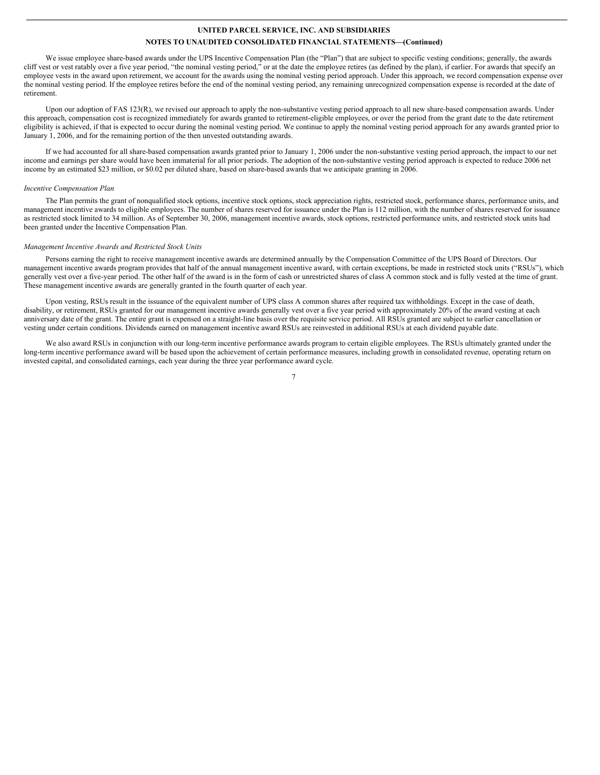We issue employee share-based awards under the UPS Incentive Compensation Plan (the "Plan") that are subject to specific vesting conditions; generally, the awards cliff vest or vest ratably over a five year period, "the nominal vesting period," or at the date the employee retires (as defined by the plan), if earlier. For awards that specify an employee vests in the award upon retirement, we account for the awards using the nominal vesting period approach. Under this approach, we record compensation expense over the nominal vesting period. If the employee retires before the end of the nominal vesting period, any remaining unrecognized compensation expense is recorded at the date of retirement.

Upon our adoption of FAS 123(R), we revised our approach to apply the non-substantive vesting period approach to all new share-based compensation awards. Under this approach, compensation cost is recognized immediately for awards granted to retirement-eligible employees, or over the period from the grant date to the date retirement eligibility is achieved, if that is expected to occur during the nominal vesting period. We continue to apply the nominal vesting period approach for any awards granted prior to January 1, 2006, and for the remaining portion of the then unvested outstanding awards.

If we had accounted for all share-based compensation awards granted prior to January 1, 2006 under the non-substantive vesting period approach, the impact to our net income and earnings per share would have been immaterial for all prior periods. The adoption of the non-substantive vesting period approach is expected to reduce 2006 net income by an estimated \$23 million, or \$0.02 per diluted share, based on share-based awards that we anticipate granting in 2006.

#### *Incentive Compensation Plan*

The Plan permits the grant of nonqualified stock options, incentive stock options, stock appreciation rights, restricted stock, performance shares, performance units, and management incentive awards to eligible employees. The number of shares reserved for issuance under the Plan is 112 million, with the number of shares reserved for issuance as restricted stock limited to 34 million. As of September 30, 2006, management incentive awards, stock options, restricted performance units, and restricted stock units had been granted under the Incentive Compensation Plan.

#### *Management Incentive Awards and Restricted Stock Units*

Persons earning the right to receive management incentive awards are determined annually by the Compensation Committee of the UPS Board of Directors. Our management incentive awards program provides that half of the annual management incentive award, with certain exceptions, be made in restricted stock units ("RSUs"), which generally vest over a five-year period. The other half of the award is in the form of cash or unrestricted shares of class A common stock and is fully vested at the time of grant. These management incentive awards are generally granted in the fourth quarter of each year.

Upon vesting, RSUs result in the issuance of the equivalent number of UPS class A common shares after required tax withholdings. Except in the case of death, disability, or retirement, RSUs granted for our management incentive awards generally vest over a five year period with approximately 20% of the award vesting at each anniversary date of the grant. The entire grant is expensed on a straight-line basis over the requisite service period. All RSUs granted are subject to earlier cancellation or vesting under certain conditions. Dividends earned on management incentive award RSUs are reinvested in additional RSUs at each dividend payable date.

We also award RSUs in conjunction with our long-term incentive performance awards program to certain eligible employees. The RSUs ultimately granted under the long-term incentive performance award will be based upon the achievement of certain performance measures, including growth in consolidated revenue, operating return on invested capital, and consolidated earnings, each year during the three year performance award cycle.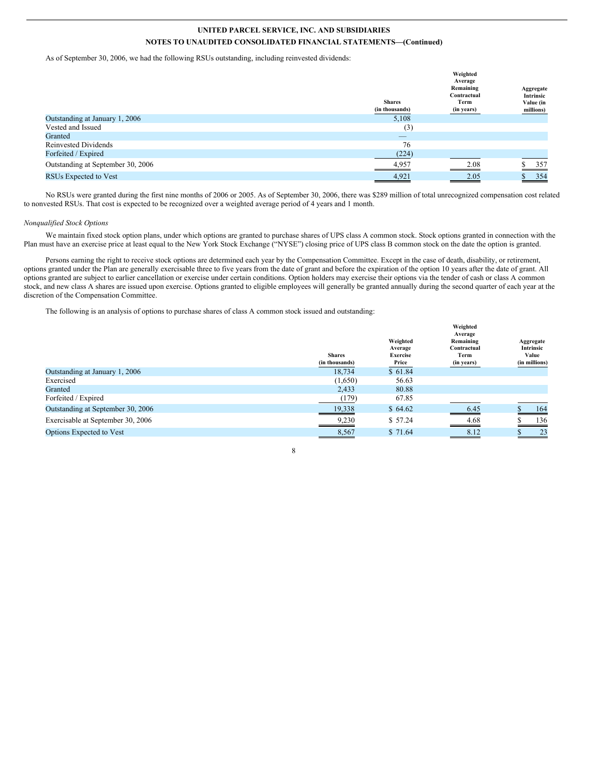As of September 30, 2006, we had the following RSUs outstanding, including reinvested dividends:

| <b>Shares</b><br>(in thousands) | Weighted<br>Average<br>Remaining<br>Contractual<br>Term<br>(in years) | Aggregate<br>Intrinsic<br>Value (in<br>millions) |
|---------------------------------|-----------------------------------------------------------------------|--------------------------------------------------|
| 5,108                           |                                                                       |                                                  |
| (3)                             |                                                                       |                                                  |
|                                 |                                                                       |                                                  |
| 76                              |                                                                       |                                                  |
| (224)                           |                                                                       |                                                  |
| 4,957                           | 2.08                                                                  | 357                                              |
| 4,921                           | 2.05                                                                  | 354                                              |
|                                 |                                                                       |                                                  |

No RSUs were granted during the first nine months of 2006 or 2005. As of September 30, 2006, there was \$289 million of total unrecognized compensation cost related to nonvested RSUs. That cost is expected to be recognized over a weighted average period of 4 years and 1 month.

#### *Nonqualified Stock Options*

We maintain fixed stock option plans, under which options are granted to purchase shares of UPS class A common stock. Stock options granted in connection with the Plan must have an exercise price at least equal to the New York Stock Exchange ("NYSE") closing price of UPS class B common stock on the date the option is granted.

Persons earning the right to receive stock options are determined each year by the Compensation Committee. Except in the case of death, disability, or retirement, options granted under the Plan are generally exercisable three to five years from the date of grant and before the expiration of the option 10 years after the date of grant. All options granted are subject to earlier cancellation or exercise under certain conditions. Option holders may exercise their options via the tender of cash or class A common stock, and new class A shares are issued upon exercise. Options granted to eligible employees will generally be granted annually during the second quarter of each year at the discretion of the Compensation Committee.

The following is an analysis of options to purchase shares of class A common stock issued and outstanding:

|                                   | <b>Shares</b><br>(in thousands) | Weighted<br>Average<br><b>Exercise</b><br>Price | Weighted<br>Average<br>Remaining<br>Contractual<br>Term<br>(in years) | Aggregate<br>Intrinsic<br>Value<br>(in millions) |
|-----------------------------------|---------------------------------|-------------------------------------------------|-----------------------------------------------------------------------|--------------------------------------------------|
| Outstanding at January 1, 2006    | 18.734                          | \$61.84                                         |                                                                       |                                                  |
| Exercised                         | (1,650)                         | 56.63                                           |                                                                       |                                                  |
| Granted                           | 2,433                           | 80.88                                           |                                                                       |                                                  |
| Forfeited / Expired               | (179)                           | 67.85                                           |                                                                       |                                                  |
| Outstanding at September 30, 2006 | 19,338                          | \$64.62                                         | 6.45                                                                  | 164                                              |
| Exercisable at September 30, 2006 | 9,230                           | \$57.24                                         | 4.68                                                                  | 136                                              |
| Options Expected to Vest          | 8,567                           | \$71.64                                         | 8.12                                                                  | 23                                               |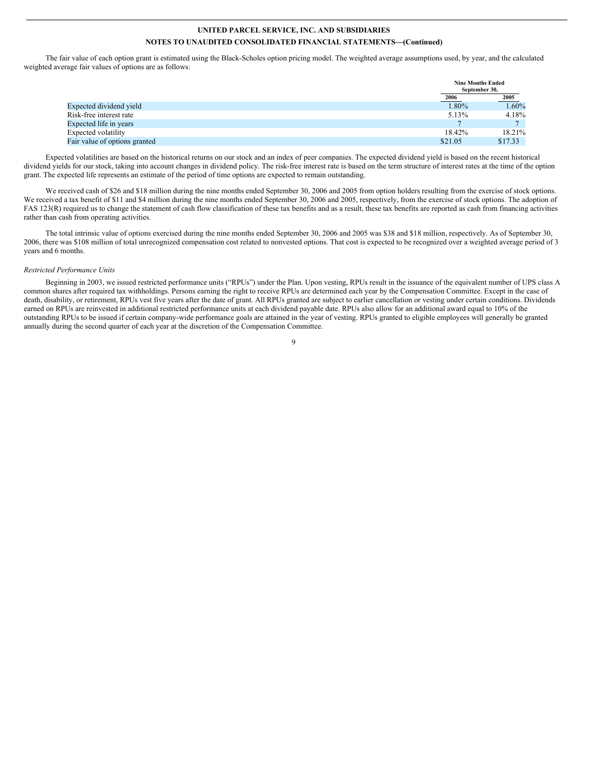The fair value of each option grant is estimated using the Black-Scholes option pricing model. The weighted average assumptions used, by year, and the calculated weighted average fair values of options are as follows:

|                               | <b>Nine Months Ended</b> |         |
|-------------------------------|--------------------------|---------|
|                               | September 30,            |         |
|                               | 2006                     | 2005    |
| Expected dividend yield       | 1.80%                    | 1.60%   |
| Risk-free interest rate       | 5.13%                    | 4.18%   |
| Expected life in years        |                          |         |
| Expected volatility           | 18.42%                   | 18.21%  |
| Fair value of options granted | \$21.05                  | \$17.33 |
|                               |                          |         |

Expected volatilities are based on the historical returns on our stock and an index of peer companies. The expected dividend yield is based on the recent historical dividend yields for our stock, taking into account changes in dividend policy. The risk-free interest rate is based on the term structure of interest rates at the time of the option grant. The expected life represents an estimate of the period of time options are expected to remain outstanding.

We received cash of \$26 and \$18 million during the nine months ended September 30, 2006 and 2005 from option holders resulting from the exercise of stock options. We received a tax benefit of \$11 and \$4 million during the nine months ended September 30, 2006 and 2005, respectively, from the exercise of stock options. The adoption of FAS 123(R) required us to change the statement of cash flow classification of these tax benefits and as a result, these tax benefits are reported as cash from financing activities rather than cash from operating activities.

The total intrinsic value of options exercised during the nine months ended September 30, 2006 and 2005 was \$38 and \$18 million, respectively. As of September 30, 2006, there was \$108 million of total unrecognized compensation cost related to nonvested options. That cost is expected to be recognized over a weighted average period of 3 years and 6 months.

#### *Restricted Performance Units*

Beginning in 2003, we issued restricted performance units ("RPUs") under the Plan. Upon vesting, RPUs result in the issuance of the equivalent number of UPS class A common shares after required tax withholdings. Persons earning the right to receive RPUs are determined each year by the Compensation Committee. Except in the case of death, disability, or retirement, RPUs vest five years after the date of grant. All RPUs granted are subject to earlier cancellation or vesting under certain conditions. Dividends earned on RPUs are reinvested in additional restricted performance units at each dividend payable date. RPUs also allow for an additional award equal to 10% of the outstanding RPUs to be issued if certain company-wide performance goals are attained in the year of vesting. RPUs granted to eligible employees will generally be granted annually during the second quarter of each year at the discretion of the Compensation Committee.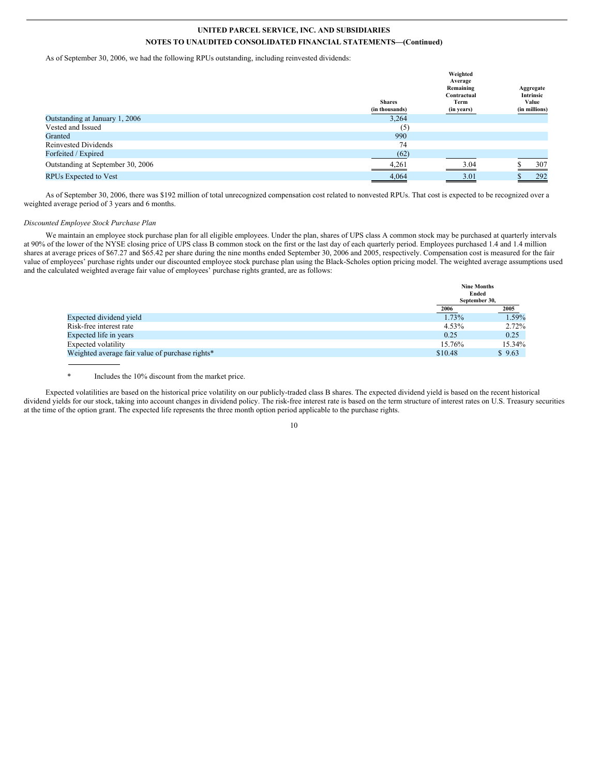As of September 30, 2006, we had the following RPUs outstanding, including reinvested dividends:

| <b>Shares</b><br>(in thousands) | Weighted<br>Average<br>Remaining<br>Contractual<br>Term<br>(in years) | Aggregate<br>Intrinsic<br>Value<br>(in millions) |
|---------------------------------|-----------------------------------------------------------------------|--------------------------------------------------|
| 3,264                           |                                                                       |                                                  |
| (5)                             |                                                                       |                                                  |
| 990                             |                                                                       |                                                  |
| 74                              |                                                                       |                                                  |
| (62)                            |                                                                       |                                                  |
| 4,261                           | 3.04                                                                  | 307                                              |
| 4,064                           | 3.01                                                                  | 292                                              |
|                                 | _____                                                                 |                                                  |

As of September 30, 2006, there was \$192 million of total unrecognized compensation cost related to nonvested RPUs. That cost is expected to be recognized over a weighted average period of 3 years and 6 months.

#### *Discounted Employee Stock Purchase Plan*

We maintain an employee stock purchase plan for all eligible employees. Under the plan, shares of UPS class A common stock may be purchased at quarterly intervals at 90% of the lower of the NYSE closing price of UPS class B common stock on the first or the last day of each quarterly period. Employees purchased 1.4 and 1.4 million shares at average prices of \$67.27 and \$65.42 per share during the nine months ended September 30, 2006 and 2005, respectively. Compensation cost is measured for the fair value of employees' purchase rights under our discounted employee stock purchase plan using the Black-Scholes option pricing model. The weighted average assumptions used and the calculated weighted average fair value of employees' purchase rights granted, are as follows:

|                                                 | <b>Nine Months</b> |        |
|-------------------------------------------------|--------------------|--------|
|                                                 | Ended              |        |
|                                                 | September 30,      |        |
|                                                 | 2006               | 2005   |
| Expected dividend yield                         | 1.73%              | 1.59%  |
| Risk-free interest rate                         | 4.53%              | 2.72%  |
| Expected life in years                          | 0.25               | 0.25   |
| Expected volatility                             | 15.76%             | 15.34% |
| Weighted average fair value of purchase rights* | \$10.48            | \$9.63 |

#### \* Includes the 10% discount from the market price.

Expected volatilities are based on the historical price volatility on our publicly-traded class B shares. The expected dividend yield is based on the recent historical dividend yields for our stock, taking into account changes in dividend policy. The risk-free interest rate is based on the term structure of interest rates on U.S. Treasury securities at the time of the option grant. The expected life represents the three month option period applicable to the purchase rights.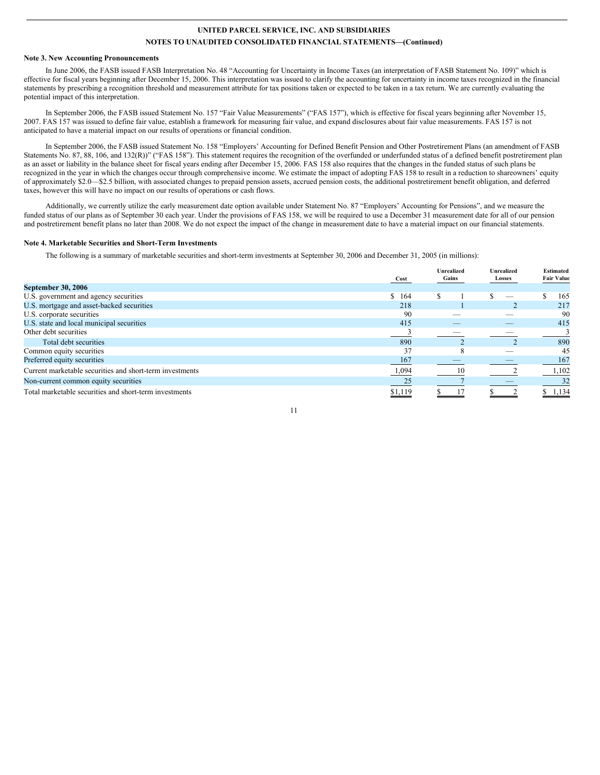#### **Note 3. New Accounting Pronouncements**

In June 2006, the FASB issued FASB Interpretation No. 48 "Accounting for Uncertainty in Income Taxes (an interpretation of FASB Statement No. 109)" which is effective for fiscal years beginning after December 15, 2006. This interpretation was issued to clarify the accounting for uncertainty in income taxes recognized in the financial statements by prescribing a recognition threshold and measurement attribute for tax positions taken or expected to be taken in a tax return. We are currently evaluating the potential impact of this interpretation.

In September 2006, the FASB issued Statement No. 157 "Fair Value Measurements" ("FAS 157"), which is effective for fiscal years beginning after November 15, 2007. FAS 157 was issued to define fair value, establish a framework for measuring fair value, and expand disclosures about fair value measurements. FAS 157 is not anticipated to have a material impact on our results of operations or financial condition.

In September 2006, the FASB issued Statement No. 158 "Employers' Accounting for Defined Benefit Pension and Other Postretirement Plans (an amendment of FASB Statements No. 87, 88, 106, and 132(R))" ("FAS 158"). This statement requires the recognition of the overfunded or underfunded status of a defined benefit postretirement plan as an asset or liability in the balance sheet for fiscal years ending after December 15, 2006. FAS 158 also requires that the changes in the funded status of such plans be recognized in the year in which the changes occur through comprehensive income. We estimate the impact of adopting FAS 158 to result in a reduction to shareowners' equity of approximately \$2.0—\$2.5 billion, with associated changes to prepaid pension assets, accrued pension costs, the additional postretirement benefit obligation, and deferred taxes, however this will have no impact on our results of operations or cash flows.

Additionally, we currently utilize the early measurement date option available under Statement No. 87 "Employers' Accounting for Pensions", and we measure the funded status of our plans as of September 30 each year. Under the provisions of FAS 158, we will be required to use a December 31 measurement date for all of our pension and postretirement benefit plans no later than 2008. We do not expect the impact of the change in measurement date to have a material impact on our financial statements.

#### **Note 4. Marketable Securities and Short-Term Investments**

The following is a summary of marketable securities and short-term investments at September 30, 2006 and December 31, 2005 (in millions):

|                                                          | Cost    | <b>Unrealized</b><br>Gains | <b>Unrealized</b><br><b>Losses</b> | <b>Estimated</b><br><b>Fair Value</b> |
|----------------------------------------------------------|---------|----------------------------|------------------------------------|---------------------------------------|
| <b>September 30, 2006</b>                                |         |                            |                                    |                                       |
| U.S. government and agency securities                    | \$164   | ς                          |                                    | 165                                   |
| U.S. mortgage and asset-backed securities                | 218     |                            |                                    | 217                                   |
| U.S. corporate securities                                | 90      |                            |                                    | 90                                    |
| U.S. state and local municipal securities                | 415     |                            |                                    | 415                                   |
| Other debt securities                                    |         |                            |                                    |                                       |
| Total debt securities                                    | 890     |                            |                                    | 890                                   |
| Common equity securities                                 | 37      | Y.                         |                                    | 45                                    |
| Preferred equity securities                              | 167     |                            |                                    | 167                                   |
| Current marketable securities and short-term investments | 1,094   | 10                         |                                    | 1,102                                 |
| Non-current common equity securities                     | 25      |                            |                                    | 32                                    |
| Total marketable securities and short-term investments   | \$1,119 |                            |                                    | \$1,134                               |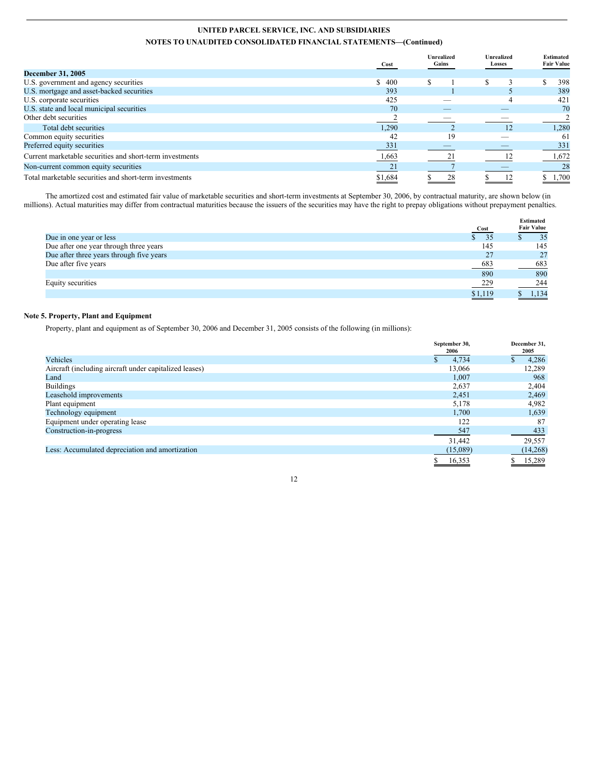|                                                          | Cost      | <b>Unrealized</b><br>Gains | Unrealized<br><b>Losses</b> | <b>Estimated</b><br><b>Fair Value</b> |
|----------------------------------------------------------|-----------|----------------------------|-----------------------------|---------------------------------------|
| <b>December 31, 2005</b>                                 |           |                            |                             |                                       |
| U.S. government and agency securities                    | 400<br>S. |                            |                             | 398                                   |
| U.S. mortgage and asset-backed securities                | 393       |                            |                             | 389                                   |
| U.S. corporate securities                                | 425       |                            |                             | 421                                   |
| U.S. state and local municipal securities                | 70        |                            |                             | 70                                    |
| Other debt securities                                    |           |                            |                             |                                       |
| Total debt securities                                    | 1,290     |                            | 12                          | 1,280                                 |
| Common equity securities                                 | 42        | 19                         |                             | -61                                   |
| Preferred equity securities                              | 331       |                            |                             | 331                                   |
| Current marketable securities and short-term investments | 1,663     |                            |                             | 1,672                                 |
| Non-current common equity securities                     | 21        |                            |                             | 28                                    |
| Total marketable securities and short-term investments   | \$1,684   | 28                         | 12                          | 1,700                                 |

The amortized cost and estimated fair value of marketable securities and short-term investments at September 30, 2006, by contractual maturity, are shown below (in millions). Actual maturities may differ from contractual maturities because the issuers of the securities may have the right to prepay obligations without prepayment penalties.

|                                          |         | <b>Estimated</b>  |
|------------------------------------------|---------|-------------------|
|                                          | Cost    | <b>Fair Value</b> |
| Due in one year or less                  | 35      | 35                |
| Due after one year through three years   | 145     | 145               |
| Due after three years through five years | 27      | 27                |
| Due after five years                     | 683     | 683               |
|                                          | 890     | 890               |
| Equity securities                        | 229     | 244               |
|                                          | \$1,119 | .134              |
|                                          |         |                   |

### **Note 5. Property, Plant and Equipment**

Property, plant and equipment as of September 30, 2006 and December 31, 2005 consists of the following (in millions):

|                                                        | September 30,<br>2006 | December 31,<br>2005 |
|--------------------------------------------------------|-----------------------|----------------------|
| Vehicles                                               | 4,734                 | 4,286                |
| Aircraft (including aircraft under capitalized leases) | 13,066                | 12,289               |
| Land                                                   | 1,007                 | 968                  |
| <b>Buildings</b>                                       | 2,637                 | 2,404                |
| Leasehold improvements                                 | 2,451                 | 2,469                |
| Plant equipment                                        | 5,178                 | 4,982                |
| Technology equipment                                   | 1,700                 | 1,639                |
| Equipment under operating lease                        | 122                   | 87                   |
| Construction-in-progress                               | 547                   | 433                  |
|                                                        | 31.442                | 29,557               |
| Less: Accumulated depreciation and amortization        | (15,089)              | (14,268)             |
|                                                        | 16,353                | 15,289               |

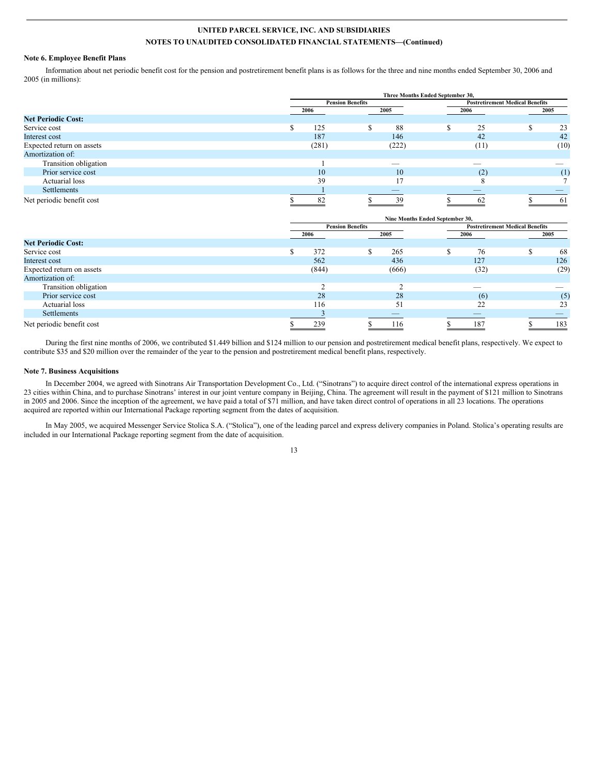#### **Note 6. Employee Benefit Plans**

Information about net periodic benefit cost for the pension and postretirement benefit plans is as follows for the three and nine months ended September 30, 2006 and 2005 (in millions):

|                           | Three Months Ended September 30, |                         |       |  |                                        |  |      |
|---------------------------|----------------------------------|-------------------------|-------|--|----------------------------------------|--|------|
|                           |                                  | <b>Pension Benefits</b> |       |  | <b>Postretirement Medical Benefits</b> |  |      |
|                           | 2006                             |                         | 2005  |  | 2006                                   |  | 2005 |
| <b>Net Periodic Cost:</b> |                                  |                         |       |  |                                        |  |      |
| Service cost              | 125                              |                         | 88    |  | 25                                     |  | 23   |
| Interest cost             | 187                              |                         | 146   |  | 42                                     |  | 42   |
| Expected return on assets | (281)                            |                         | (222) |  | (11)                                   |  | (10) |
| Amortization of:          |                                  |                         |       |  |                                        |  |      |
| Transition obligation     |                                  |                         | _     |  | --                                     |  |      |
| Prior service cost        | 10 <sup>°</sup>                  |                         | 10    |  | (2)                                    |  | (1)  |
| Actuarial loss            | 39                               |                         |       |  |                                        |  |      |
| Settlements               |                                  |                         |       |  |                                        |  |      |
| Net periodic benefit cost | 82                               |                         | 39    |  | 62                                     |  | -61  |

|                           | Nine Months Ended September 30, |                         |       |  |                                        |  |      |
|---------------------------|---------------------------------|-------------------------|-------|--|----------------------------------------|--|------|
|                           |                                 | <b>Pension Benefits</b> |       |  | <b>Postretirement Medical Benefits</b> |  |      |
|                           | 2006                            |                         | 2005  |  | 2006                                   |  | 2005 |
| <b>Net Periodic Cost:</b> |                                 |                         |       |  |                                        |  |      |
| Service cost              | 372                             |                         | 265   |  | 76                                     |  | 68   |
| Interest cost             | 562                             |                         | 436   |  | 127                                    |  | 126  |
| Expected return on assets | (844)                           |                         | (666) |  | (32)                                   |  | (29) |
| Amortization of:          |                                 |                         |       |  |                                        |  |      |
| Transition obligation     |                                 |                         |       |  | __                                     |  |      |
| Prior service cost        | 28                              |                         | 28    |  | (6)                                    |  | (5)  |
| Actuarial loss            | 116                             |                         | 51    |  | 22                                     |  | 23   |
| Settlements               |                                 |                         |       |  |                                        |  |      |
| Net periodic benefit cost | 239                             |                         | 116   |  | 187                                    |  | 183  |

During the first nine months of 2006, we contributed \$1.449 billion and \$124 million to our pension and postretirement medical benefit plans, respectively. We expect to contribute \$35 and \$20 million over the remainder of the year to the pension and postretirement medical benefit plans, respectively.

#### **Note 7. Business Acquisitions**

In December 2004, we agreed with Sinotrans Air Transportation Development Co., Ltd. ("Sinotrans") to acquire direct control of the international express operations in 23 cities within China, and to purchase Sinotrans' interest in our joint venture company in Beijing, China. The agreement will result in the payment of \$121 million to Sinotrans in 2005 and 2006. Since the inception of the agreement, we have paid a total of \$71 million, and have taken direct control of operations in all 23 locations. The operations acquired are reported within our International Package reporting segment from the dates of acquisition.

In May 2005, we acquired Messenger Service Stolica S.A. ("Stolica"), one of the leading parcel and express delivery companies in Poland. Stolica's operating results are included in our International Package reporting segment from the date of acquisition.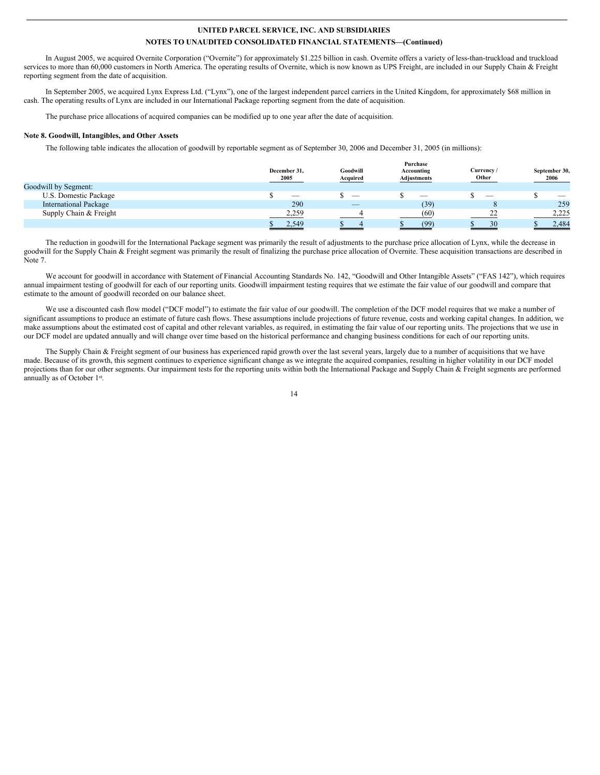In August 2005, we acquired Overnite Corporation ("Overnite") for approximately \$1.225 billion in cash. Overnite offers a variety of less-than-truckload and truckload services to more than 60,000 customers in North America. The operating results of Overnite, which is now known as UPS Freight, are included in our Supply Chain & Freight reporting segment from the date of acquisition.

In September 2005, we acquired Lynx Express Ltd. ("Lynx"), one of the largest independent parcel carriers in the United Kingdom, for approximately \$68 million in cash. The operating results of Lynx are included in our International Package reporting segment from the date of acquisition.

The purchase price allocations of acquired companies can be modified up to one year after the date of acquisition.

#### **Note 8. Goodwill, Intangibles, and Other Assets**

The following table indicates the allocation of goodwill by reportable segment as of September 30, 2006 and December 31, 2005 (in millions):

|                              | December 31,<br>2005     | Goodwill<br>Acquired | Purchase<br>Accounting<br>Adjustments | Currency/<br>Other | September 30,<br>2006 |
|------------------------------|--------------------------|----------------------|---------------------------------------|--------------------|-----------------------|
| Goodwill by Segment:         |                          |                      |                                       |                    |                       |
| U.S. Domestic Package        | $\overline{\phantom{a}}$ | __                   | __                                    | __                 |                       |
| <b>International Package</b> | 290                      |                      | (39)                                  |                    | 259                   |
| Supply Chain & Freight       | 2,259                    |                      | (60)                                  | າາ                 | 2.225                 |
|                              | 2,549                    |                      | (99)                                  | 30                 | 2,484                 |

The reduction in goodwill for the International Package segment was primarily the result of adjustments to the purchase price allocation of Lynx, while the decrease in goodwill for the Supply Chain & Freight segment was primarily the result of finalizing the purchase price allocation of Overnite. These acquisition transactions are described in Note 7.

We account for goodwill in accordance with Statement of Financial Accounting Standards No. 142, "Goodwill and Other Intangible Assets" ("FAS 142"), which requires annual impairment testing of goodwill for each of our reporting units. Goodwill impairment testing requires that we estimate the fair value of our goodwill and compare that estimate to the amount of goodwill recorded on our balance sheet.

We use a discounted cash flow model ("DCF model") to estimate the fair value of our goodwill. The completion of the DCF model requires that we make a number of significant assumptions to produce an estimate of future cash flows. These assumptions include projections of future revenue, costs and working capital changes. In addition, we make assumptions about the estimated cost of capital and other relevant variables, as required, in estimating the fair value of our reporting units. The projections that we use in our DCF model are updated annually and will change over time based on the historical performance and changing business conditions for each of our reporting units.

The Supply Chain & Freight segment of our business has experienced rapid growth over the last several years, largely due to a number of acquisitions that we have made. Because of its growth, this segment continues to experience significant change as we integrate the acquired companies, resulting in higher volatility in our DCF model projections than for our other segments. Our impairment tests for the reporting units within both the International Package and Supply Chain & Freight segments are performed annually as of October 1 st.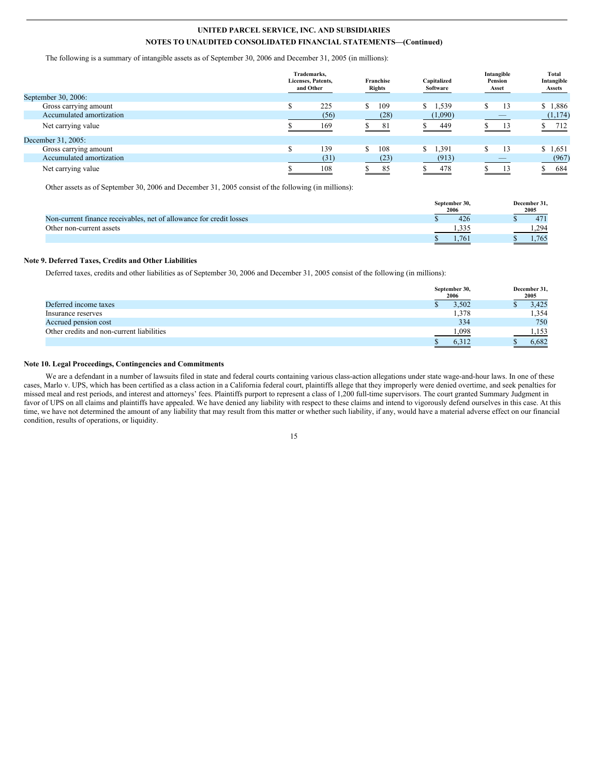The following is a summary of intangible assets as of September 30, 2006 and December 31, 2005 (in millions):

|                          | Trademarks.<br>Licenses, Patents,<br>and Other | Franchise<br><b>Rights</b> | Capitalized<br>Software | Intangible<br>Pension<br>Asset | Total<br>Intangible<br>Assets            |
|--------------------------|------------------------------------------------|----------------------------|-------------------------|--------------------------------|------------------------------------------|
| September 30, 2006:      |                                                |                            |                         |                                |                                          |
| Gross carrying amount    | 225                                            | 109<br>S.                  | 1,539<br>S.             | 13                             | \$1,886                                  |
| Accumulated amortization | (56)                                           | (28)                       | (1,090)                 |                                | (1,174)                                  |
| Net carrying value       | 169                                            | $\$\$ 81                   | 449                     |                                | \$712                                    |
| December 31, 2005:       |                                                |                            |                         |                                |                                          |
| Gross carrying amount    | 139                                            | 108                        | 1,391<br>S.             | 13                             | \$1,651                                  |
| Accumulated amortization | (31)                                           | (23)                       | (913)                   |                                | (967)                                    |
| Net carrying value       | 108                                            | 85                         | 478                     | 13                             | 684<br>and the control of the control of |

Other assets as of September 30, 2006 and December 31, 2005 consist of the following (in millions):

|                                                                     | September 30.<br>2006 | December 31,<br>2005 |
|---------------------------------------------------------------------|-----------------------|----------------------|
| Non-current finance receivables, net of allowance for credit losses | 426                   |                      |
| Other non-current assets                                            |                       | 294                  |
|                                                                     | .761                  | .765                 |

#### **Note 9. Deferred Taxes, Credits and Other Liabilities**

Deferred taxes, credits and other liabilities as of September 30, 2006 and December 31, 2005 consist of the following (in millions):

|                                           | September 30,<br>2006 | December 31,<br>2005 |
|-------------------------------------------|-----------------------|----------------------|
| Deferred income taxes                     | 3,502                 | 3.425                |
| Insurance reserves                        | 1,378                 | 1,354                |
| Accrued pension cost                      | 334                   | 750                  |
| Other credits and non-current liabilities | .098                  | 1.153                |
|                                           | 6.312                 | 6.682                |

### **Note 10. Legal Proceedings, Contingencies and Commitments**

We are a defendant in a number of lawsuits filed in state and federal courts containing various class-action allegations under state wage-and-hour laws. In one of these cases, Marlo v. UPS, which has been certified as a class action in a California federal court, plaintiffs allege that they improperly were denied overtime, and seek penalties for missed meal and rest periods, and interest and attorneys' fees. Plaintiffs purport to represent a class of 1,200 full-time supervisors. The court granted Summary Judgment in favor of UPS on all claims and plaintiffs have appealed. We have denied any liability with respect to these claims and intend to vigorously defend ourselves in this case. At this time, we have not determined the amount of any liability that may result from this matter or whether such liability, if any, would have a material adverse effect on our financial condition, results of operations, or liquidity.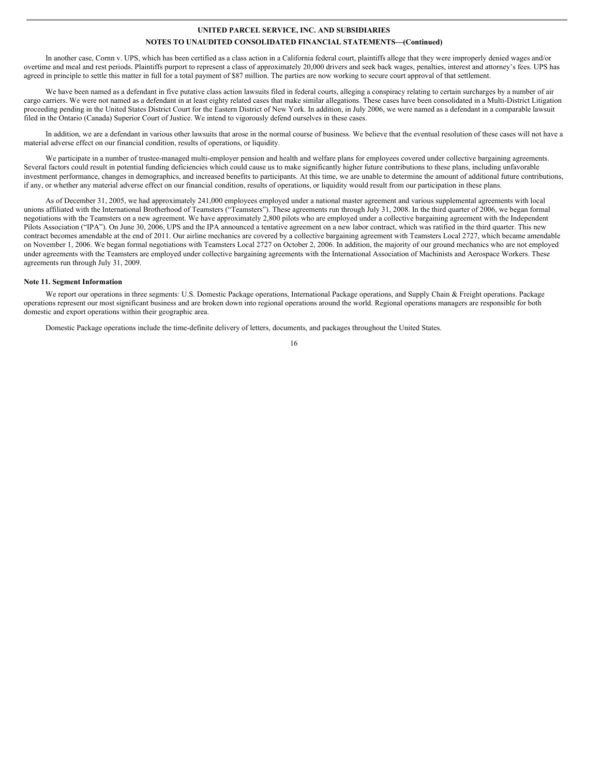In another case, Cornn v. UPS, which has been certified as a class action in a California federal court, plaintiffs allege that they were improperly denied wages and/or overtime and meal and rest periods. Plaintiffs purport to represent a class of approximately 20,000 drivers and seek back wages, penalties, interest and attorney's fees. UPS has agreed in principle to settle this matter in full for a total payment of \$87 million. The parties are now working to secure court approval of that settlement.

We have been named as a defendant in five putative class action lawsuits filed in federal courts, alleging a conspiracy relating to certain surcharges by a number of air cargo carriers. We were not named as a defendant in at least eighty related cases that make similar allegations. These cases have been consolidated in a Multi-District Litigation proceeding pending in the United States District Court for the Eastern District of New York. In addition, in July 2006, we were named as a defendant in a comparable lawsuit filed in the Ontario (Canada) Superior Court of Justice. We intend to vigorously defend ourselves in these cases.

In addition, we are a defendant in various other lawsuits that arose in the normal course of business. We believe that the eventual resolution of these cases will not have a material adverse effect on our financial condition, results of operations, or liquidity.

We participate in a number of trustee-managed multi-employer pension and health and welfare plans for employees covered under collective bargaining agreements. Several factors could result in potential funding deficiencies which could cause us to make significantly higher future contributions to these plans, including unfavorable investment performance, changes in demographics, and increased benefits to participants. At this time, we are unable to determine the amount of additional future contributions, if any, or whether any material adverse effect on our financial condition, results of operations, or liquidity would result from our participation in these plans.

As of December 31, 2005, we had approximately 241,000 employees employed under a national master agreement and various supplemental agreements with local unions affiliated with the International Brotherhood of Teamsters ("Teamsters"). These agreements run through July 31, 2008. In the third quarter of 2006, we began formal negotiations with the Teamsters on a new agreement. We have approximately 2,800 pilots who are employed under a collective bargaining agreement with the Independent Pilots Association ("IPA"). On June 30, 2006, UPS and the IPA announced a tentative agreement on a new labor contract, which was ratified in the third quarter. This new contract becomes amendable at the end of 2011. Our airline mechanics are covered by a collective bargaining agreement with Teamsters Local 2727, which became amendable on November 1, 2006. We began formal negotiations with Teamsters Local 2727 on October 2, 2006. In addition, the majority of our ground mechanics who are not employed under agreements with the Teamsters are employed under collective bargaining agreements with the International Association of Machinists and Aerospace Workers. These agreements run through July 31, 2009.

#### **Note 11. Segment Information**

We report our operations in three segments: U.S. Domestic Package operations, International Package operations, and Supply Chain & Freight operations. Package operations represent our most significant business and are broken down into regional operations around the world. Regional operations managers are responsible for both domestic and export operations within their geographic area.

Domestic Package operations include the time-definite delivery of letters, documents, and packages throughout the United States.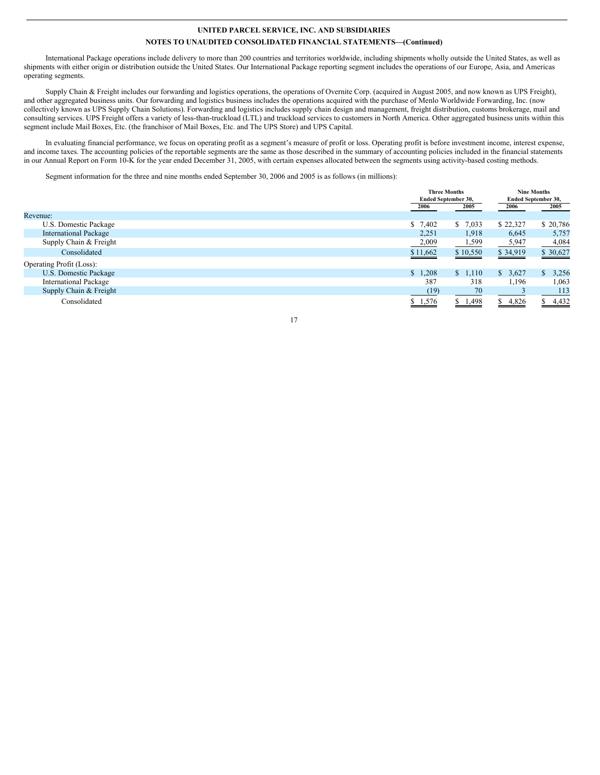International Package operations include delivery to more than 200 countries and territories worldwide, including shipments wholly outside the United States, as well as shipments with either origin or distribution outside the United States. Our International Package reporting segment includes the operations of our Europe, Asia, and Americas operating segments.

Supply Chain & Freight includes our forwarding and logistics operations, the operations of Overnite Corp. (acquired in August 2005, and now known as UPS Freight), and other aggregated business units. Our forwarding and logistics business includes the operations acquired with the purchase of Menlo Worldwide Forwarding, Inc. (now collectively known as UPS Supply Chain Solutions). Forwarding and logistics includes supply chain design and management, freight distribution, customs brokerage, mail and consulting services. UPS Freight offers a variety of less-than-truckload (LTL) and truckload services to customers in North America. Other aggregated business units within this segment include Mail Boxes, Etc. (the franchisor of Mail Boxes, Etc. and The UPS Store) and UPS Capital.

In evaluating financial performance, we focus on operating profit as a segment's measure of profit or loss. Operating profit is before investment income, interest expense, and income taxes. The accounting policies of the reportable segments are the same as those described in the summary of accounting policies included in the financial statements in our Annual Report on Form 10-K for the year ended December 31, 2005, with certain expenses allocated between the segments using activity-based costing methods.

Segment information for the three and nine months ended September 30, 2006 and 2005 is as follows (in millions):

|                              |                       | <b>Three Months</b><br>Ended September 30, |             | <b>Nine Months</b><br>Ended September 30, |
|------------------------------|-----------------------|--------------------------------------------|-------------|-------------------------------------------|
|                              | 2006                  | 2005                                       | 2006        | 2005                                      |
| Revenue:                     |                       |                                            |             |                                           |
| U.S. Domestic Package        | 7,402<br>$\mathbb{S}$ | S.<br>7,033                                | \$22,327    | \$20,786                                  |
| <b>International Package</b> | 2,251                 | 1,918                                      | 6,645       | 5,757                                     |
| Supply Chain & Freight       | 2,009                 | 1,599                                      | 5,947       | 4,084                                     |
| Consolidated                 | \$11,662              | \$10,550                                   | \$34,919    | \$30,627                                  |
| Operating Profit (Loss):     |                       |                                            |             |                                           |
| U.S. Domestic Package        | .208<br>S.            | \$1,110                                    | 3,627<br>S. | 3,256<br>\$.                              |
| <b>International Package</b> | 387                   | 318                                        | 1,196       | 1,063                                     |
| Supply Chain & Freight       | (19)                  | 70                                         |             | 113                                       |
| Consolidated                 | 1,576                 | \$1,498                                    | \$4,826     | 4,432                                     |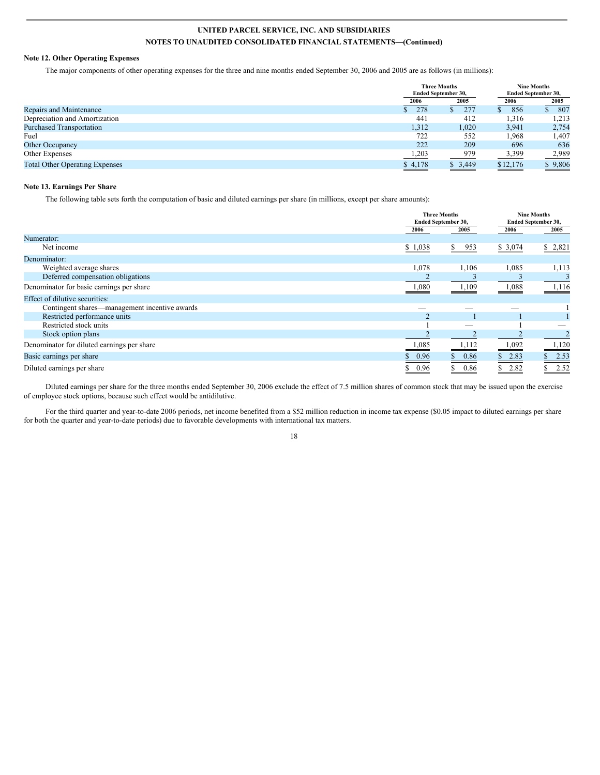### **Note 12. Other Operating Expenses**

The major components of other operating expenses for the three and nine months ended September 30, 2006 and 2005 are as follows (in millions):

|                                       |         | <b>Three Months</b><br>Ended September 30, | <b>Nine Months</b><br>Ended September 30, |         |
|---------------------------------------|---------|--------------------------------------------|-------------------------------------------|---------|
|                                       | 2006    | 2005                                       | 2006                                      | 2005    |
| Repairs and Maintenance               | 278     | 277                                        | 856<br>S.                                 | 807     |
| Depreciation and Amortization         | 441     | 412                                        | 1.316                                     | 1,213   |
| <b>Purchased Transportation</b>       | 1,312   | 1,020                                      | 3,941                                     | 2,754   |
| Fuel                                  | 722     | 552                                        | 1,968                                     | 1,407   |
| Other Occupancy                       | 222     | 209                                        | 696                                       | 636     |
| Other Expenses                        | 1,203   | 979                                        | 3,399                                     | 2,989   |
| <b>Total Other Operating Expenses</b> | \$4,178 | \$3,449                                    | \$12,176                                  | \$9,806 |

### **Note 13. Earnings Per Share**

The following table sets forth the computation of basic and diluted earnings per share (in millions, except per share amounts):

|                                               | <b>Three Months</b><br>Ended September 30, |           | <b>Nine Months</b><br>Ended September 30, |         |
|-----------------------------------------------|--------------------------------------------|-----------|-------------------------------------------|---------|
|                                               | 2006                                       | 2005      | 2006                                      | 2005    |
| Numerator:                                    |                                            |           |                                           |         |
| Net income                                    | \$1,038                                    | 953<br>S. | \$3,074                                   | \$2,821 |
| Denominator:                                  |                                            |           |                                           |         |
| Weighted average shares                       | 1,078                                      | 1,106     | 1,085                                     | 1,113   |
| Deferred compensation obligations             |                                            |           |                                           |         |
| Denominator for basic earnings per share      | 1,080                                      | 1,109     | 1,088                                     | 1,116   |
| Effect of dilutive securities:                |                                            |           |                                           |         |
| Contingent shares—management incentive awards |                                            |           |                                           |         |
| Restricted performance units                  |                                            |           |                                           |         |
| Restricted stock units                        |                                            |           |                                           |         |
| Stock option plans                            |                                            |           |                                           |         |
| Denominator for diluted earnings per share    | 1,085                                      | 1,112     | 1,092                                     | 1,120   |
| Basic earnings per share                      | 0.96                                       | \$ 0.86   | \$2.83                                    | 2.53    |
| Diluted earnings per share                    | 0.96                                       | 0.86      | 2.82                                      | 2.52    |

Diluted earnings per share for the three months ended September 30, 2006 exclude the effect of 7.5 million shares of common stock that may be issued upon the exercise of employee stock options, because such effect would be antidilutive.

For the third quarter and year-to-date 2006 periods, net income benefited from a \$52 million reduction in income tax expense (\$0.05 impact to diluted earnings per share for both the quarter and year-to-date periods) due to favorable developments with international tax matters.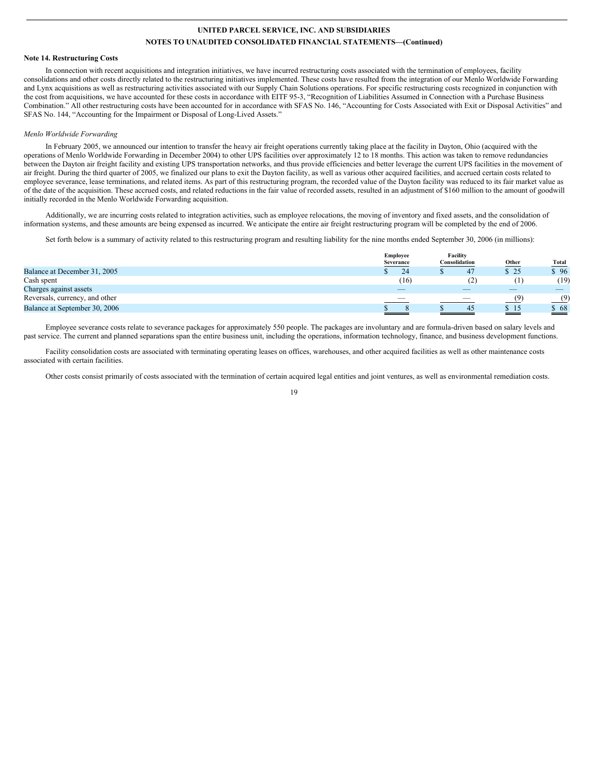#### **Note 14. Restructuring Costs**

In connection with recent acquisitions and integration initiatives, we have incurred restructuring costs associated with the termination of employees, facility consolidations and other costs directly related to the restructuring initiatives implemented. These costs have resulted from the integration of our Menlo Worldwide Forwarding and Lynx acquisitions as well as restructuring activities associated with our Supply Chain Solutions operations. For specific restructuring costs recognized in conjunction with the cost from acquisitions, we have accounted for these costs in accordance with EITF 95-3, "Recognition of Liabilities Assumed in Connection with a Purchase Business Combination." All other restructuring costs have been accounted for in accordance with SFAS No. 146, "Accounting for Costs Associated with Exit or Disposal Activities" and SFAS No. 144, "Accounting for the Impairment or Disposal of Long-Lived Assets."

#### *Menlo Worldwide Forwarding*

In February 2005, we announced our intention to transfer the heavy air freight operations currently taking place at the facility in Dayton, Ohio (acquired with the operations of Menlo Worldwide Forwarding in December 2004) to other UPS facilities over approximately 12 to 18 months. This action was taken to remove redundancies between the Dayton air freight facility and existing UPS transportation networks, and thus provide efficiencies and better leverage the current UPS facilities in the movement of air freight. During the third quarter of 2005, we finalized our plans to exit the Dayton facility, as well as various other acquired facilities, and accrued certain costs related to employee severance, lease terminations, and related items. As part of this restructuring program, the recorded value of the Dayton facility was reduced to its fair market value as of the date of the acquisition. These accrued costs, and related reductions in the fair value of recorded assets, resulted in an adjustment of \$160 million to the amount of goodwill initially recorded in the Menlo Worldwide Forwarding acquisition.

Additionally, we are incurring costs related to integration activities, such as employee relocations, the moving of inventory and fixed assets, and the consolidation of information systems, and these amounts are being expensed as incurred. We anticipate the entire air freight restructuring program will be completed by the end of 2006.

Set forth below is a summary of activity related to this restructuring program and resulting liability for the nine months ended September 30, 2006 (in millions):

|                                | <b>Employee</b>          | Facility                 |       |       |
|--------------------------------|--------------------------|--------------------------|-------|-------|
|                                | Severance                | Consolidation            | Other | Total |
| Balance at December 31, 2005   | 24                       | 47                       | \$25  | \$96  |
| Cash spent                     | (16)                     | (2)                      |       | (19)  |
| Charges against assets         | $\overline{\phantom{a}}$ |                          |       |       |
| Reversals, currency, and other | __                       | $\overline{\phantom{a}}$ | (9)   | (9)   |
| Balance at September 30, 2006  |                          | 45                       | S 15  | \$68  |
|                                |                          |                          |       |       |

Employee severance costs relate to severance packages for approximately 550 people. The packages are involuntary and are formula-driven based on salary levels and past service. The current and planned separations span the entire business unit, including the operations, information technology, finance, and business development functions.

Facility consolidation costs are associated with terminating operating leases on offices, warehouses, and other acquired facilities as well as other maintenance costs associated with certain facilities.

Other costs consist primarily of costs associated with the termination of certain acquired legal entities and joint ventures, as well as environmental remediation costs.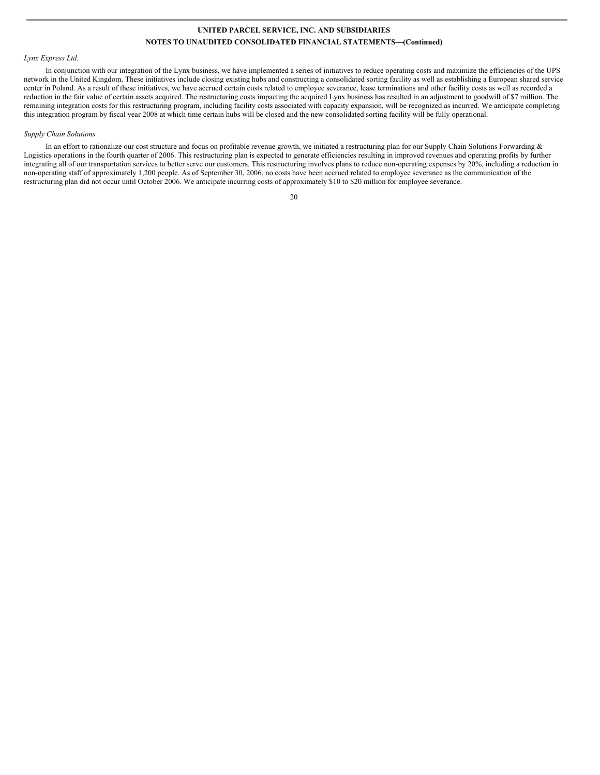#### *Lynx Express Ltd.*

In conjunction with our integration of the Lynx business, we have implemented a series of initiatives to reduce operating costs and maximize the efficiencies of the UPS network in the United Kingdom. These initiatives include closing existing hubs and constructing a consolidated sorting facility as well as establishing a European shared service center in Poland. As a result of these initiatives, we have accrued certain costs related to employee severance, lease terminations and other facility costs as well as recorded a reduction in the fair value of certain assets acquired. The restructuring costs impacting the acquired Lynx business has resulted in an adjustment to goodwill of \$7 million. The remaining integration costs for this restructuring program, including facility costs associated with capacity expansion, will be recognized as incurred. We anticipate completing this integration program by fiscal year 2008 at which time certain hubs will be closed and the new consolidated sorting facility will be fully operational.

#### *Supply Chain Solutions*

In an effort to rationalize our cost structure and focus on profitable revenue growth, we initiated a restructuring plan for our Supply Chain Solutions Forwarding & Logistics operations in the fourth quarter of 2006. This restructuring plan is expected to generate efficiencies resulting in improved revenues and operating profits by further integrating all of our transportation services to better serve our customers. This restructuring involves plans to reduce non-operating expenses by 20%, including a reduction in non-operating staff of approximately 1,200 people. As of September 30, 2006, no costs have been accrued related to employee severance as the communication of the restructuring plan did not occur until October 2006. We anticipate incurring costs of approximately \$10 to \$20 million for employee severance.

| ł | I |        |
|---|---|--------|
| I | × | ٦<br>I |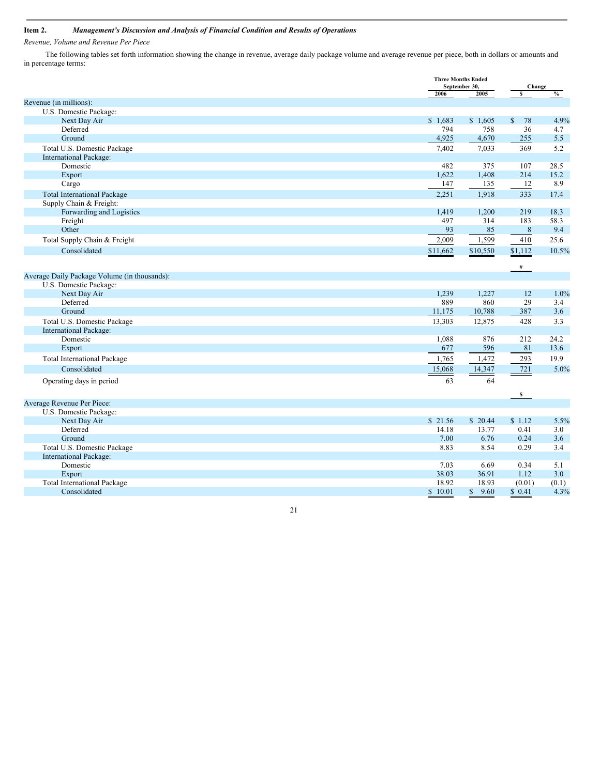### **Item 2.** *Management's Discussion and Analysis of Financial Condition and Results of Operations*

*Revenue, Volume and Revenue Per Piece*

The following tables set forth information showing the change in revenue, average daily package volume and average revenue per piece, both in dollars or amounts and in percentage terms:

|                                              |          | <b>Three Months Ended</b><br>September 30, |                    | Change         |  |
|----------------------------------------------|----------|--------------------------------------------|--------------------|----------------|--|
|                                              | 2006     | 2005                                       | s                  | $\frac{6}{10}$ |  |
| Revenue (in millions):                       |          |                                            |                    |                |  |
| U.S. Domestic Package:                       |          |                                            |                    |                |  |
| Next Day Air                                 | \$1,683  | \$1,605                                    | $\mathbb{S}$<br>78 | 4.9%           |  |
| Deferred                                     | 794      | 758                                        | 36                 | 4.7            |  |
| Ground                                       | 4,925    | 4,670                                      | 255                | 5.5            |  |
| Total U.S. Domestic Package                  | 7,402    | 7,033                                      | 369                | 5.2            |  |
| International Package:                       |          |                                            |                    |                |  |
| Domestic                                     | 482      | 375                                        | 107                | 28.5           |  |
| Export                                       | 1,622    | 1,408                                      | 214                | 15.2           |  |
| Cargo                                        | 147      | 135                                        | 12                 | 8.9            |  |
| <b>Total International Package</b>           | 2,251    | 1,918                                      | 333                | 17.4           |  |
| Supply Chain & Freight:                      |          |                                            |                    |                |  |
| Forwarding and Logistics                     | 1,419    | 1,200                                      | 219                | 18.3           |  |
| Freight                                      | 497      | 314                                        | 183                | 58.3           |  |
| Other                                        | 93       | 85                                         | 8                  | 9.4            |  |
| Total Supply Chain & Freight                 | 2,009    | 1,599                                      | 410                | 25.6           |  |
| Consolidated                                 | \$11,662 | \$10,550                                   | \$1,112            | 10.5%          |  |
|                                              |          |                                            |                    |                |  |
|                                              |          |                                            | #                  |                |  |
| Average Daily Package Volume (in thousands): |          |                                            |                    |                |  |
| U.S. Domestic Package:                       |          |                                            |                    |                |  |
| Next Day Air                                 | 1,239    | 1,227                                      | 12                 | 1.0%           |  |
| Deferred                                     | 889      | 860                                        | 29                 | 3.4            |  |
| Ground                                       | 11,175   | 10,788                                     | 387                | 3.6            |  |
| Total U.S. Domestic Package                  | 13,303   | 12,875                                     | 428                | 3.3            |  |
| International Package:                       |          |                                            |                    |                |  |
| Domestic                                     | 1,088    | 876                                        | 212                | 24.2           |  |
| Export                                       | 677      | 596                                        | 81                 | 13.6           |  |
| <b>Total International Package</b>           | 1,765    | 1,472                                      | 293                | 19.9           |  |
| Consolidated                                 | 15,068   | 14,347                                     | 721                | 5.0%           |  |
|                                              | 63       | 64                                         |                    |                |  |
| Operating days in period                     |          |                                            |                    |                |  |
|                                              |          |                                            | $\mathbf{s}$       |                |  |
| Average Revenue Per Piece:                   |          |                                            |                    |                |  |
| U.S. Domestic Package:                       |          |                                            |                    |                |  |
| Next Day Air                                 | \$21.56  | \$20.44                                    | \$1.12             | 5.5%           |  |
| Deferred                                     | 14.18    | 13.77                                      | 0.41               | 3.0            |  |
| Ground                                       | 7.00     | 6.76                                       | 0.24               | 3.6            |  |
| Total U.S. Domestic Package                  | 8.83     | 8.54                                       | 0.29               | 3.4            |  |
| International Package:                       |          |                                            |                    |                |  |
| Domestic                                     | 7.03     | 6.69                                       | 0.34               | 5.1            |  |
| Export                                       | 38.03    | 36.91                                      | 1.12               | 3.0            |  |
| <b>Total International Package</b>           | 18.92    | 18.93                                      | (0.01)             | (0.1)          |  |
| Consolidated                                 | \$10.01  | \$<br>9.60                                 | \$0.41             | 4.3%           |  |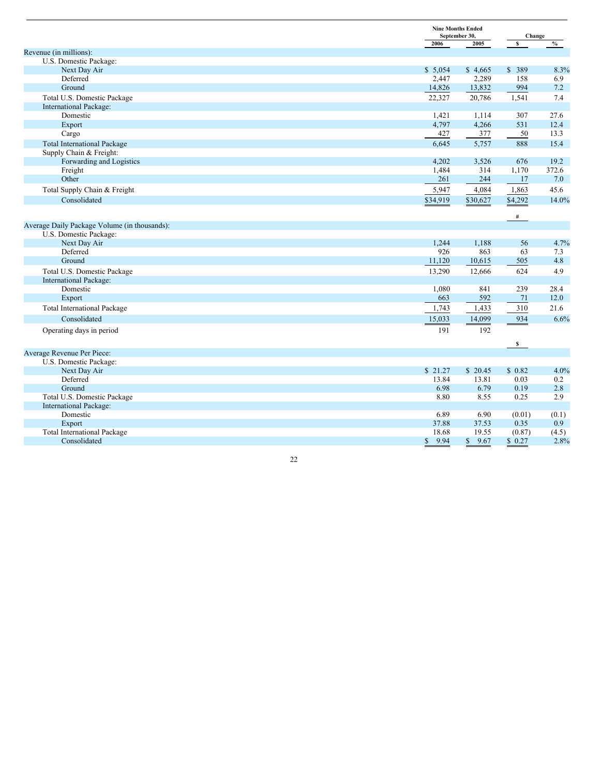|                                              |            | <b>Nine Months Ended</b><br>September 30, |              | Change |
|----------------------------------------------|------------|-------------------------------------------|--------------|--------|
|                                              | 2006       | 2005                                      | $\mathbf{s}$ | $\%$   |
| Revenue (in millions):                       |            |                                           |              |        |
| U.S. Domestic Package:                       |            |                                           |              |        |
| Next Day Air                                 | \$5,054    | \$4,665                                   | \$ 389       | 8.3%   |
| Deferred                                     | 2,447      | 2,289                                     | 158          | 6.9    |
| Ground                                       | 14,826     | 13,832                                    | 994          | 7.2    |
| Total U.S. Domestic Package                  | 22,327     | 20,786                                    | 1,541        | 7.4    |
| International Package:                       |            |                                           |              |        |
| Domestic                                     | 1,421      | 1,114                                     | 307          | 27.6   |
| Export                                       | 4,797      | 4,266                                     | 531          | 12.4   |
| Cargo                                        | 427        | 377                                       | 50           | 13.3   |
| <b>Total International Package</b>           | 6,645      | 5,757                                     | 888          | 15.4   |
| Supply Chain & Freight:                      |            |                                           |              |        |
| Forwarding and Logistics                     | 4,202      | 3,526                                     | 676          | 19.2   |
| Freight                                      | 1,484      | 314                                       | 1,170        | 372.6  |
| Other                                        | 261        | 244                                       | 17           | 7.0    |
| Total Supply Chain & Freight                 | 5,947      | 4,084                                     | 1,863        | 45.6   |
| Consolidated                                 | \$34,919   | \$30,627                                  | \$4,292      | 14.0%  |
|                                              |            |                                           |              |        |
|                                              |            |                                           | $\#$         |        |
| Average Daily Package Volume (in thousands): |            |                                           |              |        |
| U.S. Domestic Package:                       |            |                                           |              |        |
| Next Day Air                                 | 1,244      | 1,188                                     | 56           | 4.7%   |
| Deferred                                     | 926        | 863                                       | 63           | 7.3    |
| Ground                                       | 11,120     | 10,615                                    | 505          | 4.8    |
| Total U.S. Domestic Package                  | 13,290     | 12,666                                    | 624          | 4.9    |
| International Package:                       |            |                                           |              |        |
| Domestic                                     | 1,080      | 841                                       | 239          | 28.4   |
| Export                                       | 663        | 592                                       | 71           | 12.0   |
| <b>Total International Package</b>           | 1,743      | 1,433                                     | 310          | 21.6   |
| Consolidated                                 | 15,033     | 14,099                                    | 934          | 6.6%   |
|                                              |            |                                           |              |        |
| Operating days in period                     | 191        | 192                                       |              |        |
|                                              |            |                                           | $\mathbf{s}$ |        |
| Average Revenue Per Piece:                   |            |                                           |              |        |
| U.S. Domestic Package:                       |            |                                           |              |        |
| Next Day Air                                 | \$ 21.27   | \$ 20.45                                  | \$0.82       | 4.0%   |
| Deferred                                     | 13.84      | 13.81                                     | 0.03         | 0.2    |
| Ground                                       | 6.98       | 6.79                                      | 0.19         | 2.8    |
| Total U.S. Domestic Package                  | 8.80       | 8.55                                      | 0.25         | 2.9    |
| International Package:                       |            |                                           |              |        |
| Domestic                                     | 6.89       | 6.90                                      | (0.01)       | (0.1)  |
| Export                                       | 37.88      | 37.53                                     | 0.35         | 0.9    |
| <b>Total International Package</b>           | 18.68      | 19.55                                     | (0.87)       | (4.5)  |
| Consolidated                                 | 9.94<br>\$ | 9.67<br>\$                                | \$0.27       | 2.8%   |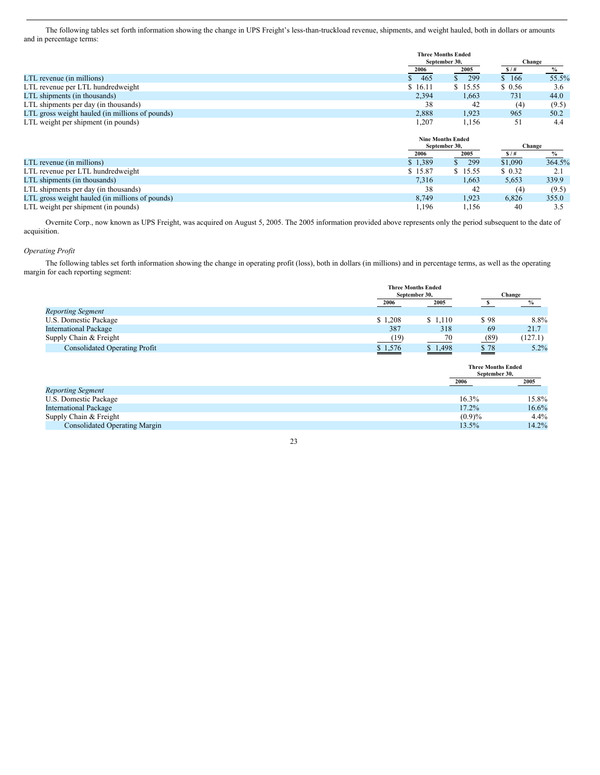The following tables set forth information showing the change in UPS Freight's less-than-truckload revenue, shipments, and weight hauled, both in dollars or amounts and in percentage terms:

|                                                 |                          | <b>Three Months Ended</b> |         |        |  |
|-------------------------------------------------|--------------------------|---------------------------|---------|--------|--|
|                                                 |                          | September 30,             |         | Change |  |
|                                                 | 2006                     | 2005                      | \$/#    | $\%$   |  |
| LTL revenue (in millions)                       | 465                      | 299<br>S.                 | \$166   | 55.5%  |  |
| LTL revenue per LTL hundredweight               | \$16.11                  | \$15.55                   | \$0.56  | 3.6    |  |
| LTL shipments (in thousands)                    | 2,394                    | 1,663                     | 731     | 44.0   |  |
| LTL shipments per day (in thousands)            | 38                       | 42                        | (4)     | (9.5)  |  |
| LTL gross weight hauled (in millions of pounds) | 2,888                    | 1,923                     | 965     | 50.2   |  |
| LTL weight per shipment (in pounds)             | 1,207                    | 1,156                     | 51      | 4.4    |  |
|                                                 | <b>Nine Months Ended</b> |                           |         |        |  |
|                                                 |                          | September 30,             | Change  |        |  |
|                                                 | 2006                     | 2005                      | \$/#    | $\%$   |  |
| LTL revenue (in millions)                       | \$1,389                  | 299<br>$\mathbb{S}$       | \$1,090 | 364.5% |  |
|                                                 |                          |                           |         | 2.1    |  |
| LTL revenue per LTL hundredweight               | \$15.87                  | \$15.55                   | \$0.32  |        |  |
| LTL shipments (in thousands)                    | 7,316                    | 1,663                     | 5,653   | 339.9  |  |
| LTL shipments per day (in thousands)            | 38                       | 42                        | (4)     | (9.5)  |  |
| LTL gross weight hauled (in millions of pounds) | 8,749                    | 1,923                     | 6,826   | 355.0  |  |

Overnite Corp., now known as UPS Freight, was acquired on August 5, 2005. The 2005 information provided above represents only the period subsequent to the date of acquisition.

#### *Operating Profit*

The following tables set forth information showing the change in operating profit (loss), both in dollars (in millions) and in percentage terms, as well as the operating margin for each reporting segment:

|                               |         | <b>Three Months Ended</b> |      |               |  |
|-------------------------------|---------|---------------------------|------|---------------|--|
|                               |         | September 30.             |      | Change        |  |
|                               | 2006    | 2005                      |      | $\frac{9}{6}$ |  |
| <b>Reporting Segment</b>      |         |                           |      |               |  |
| U.S. Domestic Package         | \$1,208 | \$1.110                   | \$98 | 8.8%          |  |
| <b>International Package</b>  | 387     | 318                       | 69   | 21.7          |  |
| Supply Chain & Freight        | (19)    | 70                        | (89) | (127.1)       |  |
| Consolidated Operating Profit | \$1,576 | \$1,498                   | \$78 | 5.2%          |  |

|                                      | <b>Three Months Ended</b><br>September 30, |         |
|--------------------------------------|--------------------------------------------|---------|
|                                      | 2006                                       | 2005    |
| <b>Reporting Segment</b>             |                                            |         |
| U.S. Domestic Package                | 16.3%                                      | 15.8%   |
| <b>International Package</b>         | 17.2%                                      | 16.6%   |
| Supply Chain & Freight               | (0.9)%                                     | $4.4\%$ |
| <b>Consolidated Operating Margin</b> | 13.5%                                      | 14.2%   |

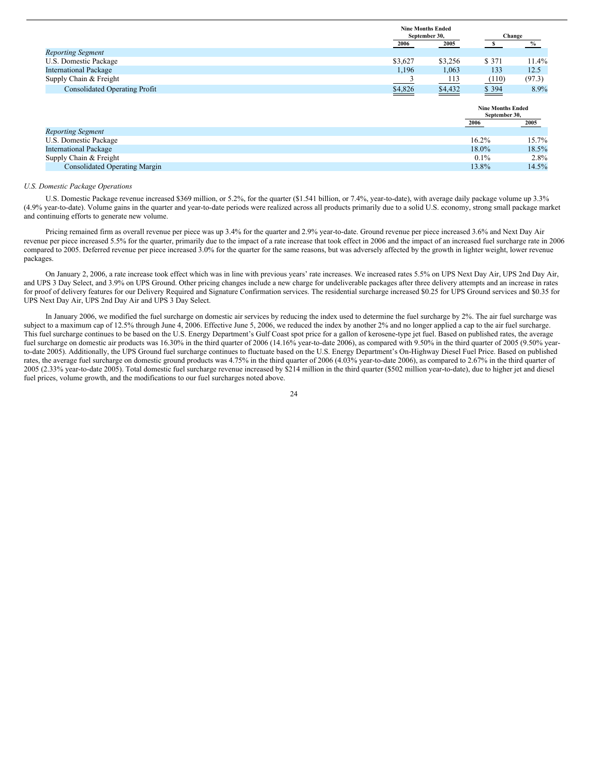|                                      |                          | <b>Nine Months Ended</b> |        |          |  |
|--------------------------------------|--------------------------|--------------------------|--------|----------|--|
|                                      |                          | September 30,            |        | Change   |  |
|                                      | 2006                     | 2005                     |        |          |  |
| <b>Reporting Segment</b>             |                          |                          |        |          |  |
| U.S. Domestic Package                | \$3,627                  | \$3,256                  | \$ 371 | $11.4\%$ |  |
| <b>International Package</b>         | 1,196                    | 1,063                    | 133    | 12.5     |  |
| Supply Chain & Freight               | $\overline{\phantom{a}}$ | 113                      | (110)  | (97.3)   |  |
| <b>Consolidated Operating Profit</b> | \$4,826                  | \$4,432                  | \$ 394 | 8.9%     |  |

|                                      | <b>Nine Months Ended</b><br>September 30, |          |
|--------------------------------------|-------------------------------------------|----------|
|                                      | 2006                                      | $-2005$  |
| <b>Reporting Segment</b>             |                                           |          |
| U.S. Domestic Package                | 16.2%                                     | $15.7\%$ |
| <b>International Package</b>         | 18.0%                                     | 18.5%    |
| Supply Chain & Freight               | 0.1%                                      | 2.8%     |
| <b>Consolidated Operating Margin</b> | 13.8%                                     | 14.5%    |

#### *U.S. Domestic Package Operations*

U.S. Domestic Package revenue increased \$369 million, or 5.2%, for the quarter (\$1.541 billion, or 7.4%, year-to-date), with average daily package volume up 3.3% (4.9% year-to-date). Volume gains in the quarter and year-to-date periods were realized across all products primarily due to a solid U.S. economy, strong small package market and continuing efforts to generate new volume.

Pricing remained firm as overall revenue per piece was up 3.4% for the quarter and 2.9% year-to-date. Ground revenue per piece increased 3.6% and Next Day Air revenue per piece increased 5.5% for the quarter, primarily due to the impact of a rate increase that took effect in 2006 and the impact of an increased fuel surcharge rate in 2006 compared to 2005. Deferred revenue per piece increased 3.0% for the quarter for the same reasons, but was adversely affected by the growth in lighter weight, lower revenue packages.

On January 2, 2006, a rate increase took effect which was in line with previous years' rate increases. We increased rates 5.5% on UPS Next Day Air, UPS 2nd Day Air, and UPS 3 Day Select, and 3.9% on UPS Ground. Other pricing changes include a new charge for undeliverable packages after three delivery attempts and an increase in rates for proof of delivery features for our Delivery Required and Signature Confirmation services. The residential surcharge increased \$0.25 for UPS Ground services and \$0.35 for UPS Next Day Air, UPS 2nd Day Air and UPS 3 Day Select.

In January 2006, we modified the fuel surcharge on domestic air services by reducing the index used to determine the fuel surcharge by 2%. The air fuel surcharge was subject to a maximum cap of 12.5% through June 4, 2006. Effective June 5, 2006, we reduced the index by another 2% and no longer applied a cap to the air fuel surcharge. This fuel surcharge continues to be based on the U.S. Energy Department's Gulf Coast spot price for a gallon of kerosene-type jet fuel. Based on published rates, the average fuel surcharge on domestic air products was 16.30% in the third quarter of 2006 (14.16% year-to-date 2006), as compared with 9.50% in the third quarter of 2005 (9.50% yearto-date 2005). Additionally, the UPS Ground fuel surcharge continues to fluctuate based on the U.S. Energy Department's On-Highway Diesel Fuel Price. Based on published rates, the average fuel surcharge on domestic ground products was 4.75% in the third quarter of 2006 (4.03% year-to-date 2006), as compared to 2.67% in the third quarter of 2005 (2.33% year-to-date 2005). Total domestic fuel surcharge revenue increased by \$214 million in the third quarter (\$502 million year-to-date), due to higher jet and diesel fuel prices, volume growth, and the modifications to our fuel surcharges noted above.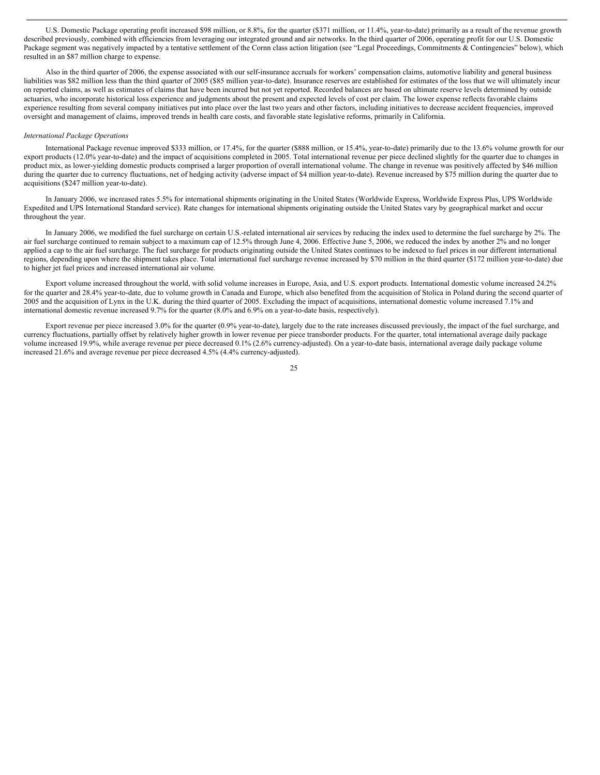U.S. Domestic Package operating profit increased \$98 million, or 8.8%, for the quarter (\$371 million, or 11.4%, year-to-date) primarily as a result of the revenue growth described previously, combined with efficiencies from leveraging our integrated ground and air networks. In the third quarter of 2006, operating profit for our U.S. Domestic Package segment was negatively impacted by a tentative settlement of the Cornn class action litigation (see "Legal Proceedings, Commitments & Contingencies" below), which resulted in an \$87 million charge to expense.

Also in the third quarter of 2006, the expense associated with our self-insurance accruals for workers' compensation claims, automotive liability and general business liabilities was \$82 million less than the third quarter of 2005 (\$85 million year-to-date). Insurance reserves are established for estimates of the loss that we will ultimately incur on reported claims, as well as estimates of claims that have been incurred but not yet reported. Recorded balances are based on ultimate reserve levels determined by outside actuaries, who incorporate historical loss experience and judgments about the present and expected levels of cost per claim. The lower expense reflects favorable claims experience resulting from several company initiatives put into place over the last two years and other factors, including initiatives to decrease accident frequencies, improved oversight and management of claims, improved trends in health care costs, and favorable state legislative reforms, primarily in California.

#### *International Package Operations*

International Package revenue improved \$333 million, or 17.4%, for the quarter (\$888 million, or 15.4%, year-to-date) primarily due to the 13.6% volume growth for our export products (12.0% year-to-date) and the impact of acquisitions completed in 2005. Total international revenue per piece declined slightly for the quarter due to changes in product mix, as lower-yielding domestic products comprised a larger proportion of overall international volume. The change in revenue was positively affected by \$46 million during the quarter due to currency fluctuations, net of hedging activity (adverse impact of \$4 million year-to-date). Revenue increased by \$75 million during the quarter due to acquisitions (\$247 million year-to-date).

In January 2006, we increased rates 5.5% for international shipments originating in the United States (Worldwide Express, Worldwide Express Plus, UPS Worldwide Expedited and UPS International Standard service). Rate changes for international shipments originating outside the United States vary by geographical market and occur throughout the year.

In January 2006, we modified the fuel surcharge on certain U.S.-related international air services by reducing the index used to determine the fuel surcharge by 2%. The air fuel surcharge continued to remain subject to a maximum cap of 12.5% through June 4, 2006. Effective June 5, 2006, we reduced the index by another 2% and no longer applied a cap to the air fuel surcharge. The fuel surcharge for products originating outside the United States continues to be indexed to fuel prices in our different international regions, depending upon where the shipment takes place. Total international fuel surcharge revenue increased by \$70 million in the third quarter (\$172 million year-to-date) due to higher jet fuel prices and increased international air volume.

Export volume increased throughout the world, with solid volume increases in Europe, Asia, and U.S. export products. International domestic volume increased 24.2% for the quarter and 28.4% year-to-date, due to volume growth in Canada and Europe, which also benefited from the acquisition of Stolica in Poland during the second quarter of 2005 and the acquisition of Lynx in the U.K. during the third quarter of 2005. Excluding the impact of acquisitions, international domestic volume increased 7.1% and international domestic revenue increased 9.7% for the quarter (8.0% and 6.9% on a year-to-date basis, respectively).

Export revenue per piece increased 3.0% for the quarter (0.9% year-to-date), largely due to the rate increases discussed previously, the impact of the fuel surcharge, and currency fluctuations, partially offset by relatively higher growth in lower revenue per piece transborder products. For the quarter, total international average daily package volume increased 19.9%, while average revenue per piece decreased 0.1% (2.6% currency-adjusted). On a year-to-date basis, international average daily package volume increased 21.6% and average revenue per piece decreased 4.5% (4.4% currency-adjusted).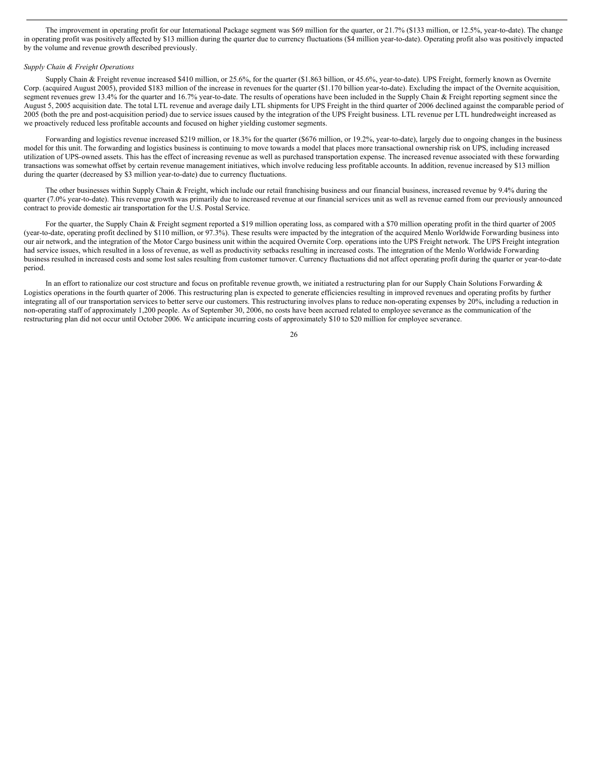The improvement in operating profit for our International Package segment was \$69 million for the quarter, or 21.7% (\$133 million, or 12.5%, year-to-date). The change in operating profit was positively affected by \$13 million during the quarter due to currency fluctuations (\$4 million year-to-date). Operating profit also was positively impacted by the volume and revenue growth described previously.

#### *Supply Chain & Freight Operations*

Supply Chain & Freight revenue increased \$410 million, or 25.6%, for the quarter (\$1.863 billion, or 45.6%, year-to-date). UPS Freight, formerly known as Overnite Corp. (acquired August 2005), provided \$183 million of the increase in revenues for the quarter (\$1.170 billion year-to-date). Excluding the impact of the Overnite acquisition, segment revenues grew 13.4% for the quarter and 16.7% year-to-date. The results of operations have been included in the Supply Chain & Freight reporting segment since the August 5, 2005 acquisition date. The total LTL revenue and average daily LTL shipments for UPS Freight in the third quarter of 2006 declined against the comparable period of 2005 (both the pre and post-acquisition period) due to service issues caused by the integration of the UPS Freight business. LTL revenue per LTL hundredweight increased as we proactively reduced less profitable accounts and focused on higher yielding customer segments.

Forwarding and logistics revenue increased \$219 million, or 18.3% for the quarter (\$676 million, or 19.2%, year-to-date), largely due to ongoing changes in the business model for this unit. The forwarding and logistics business is continuing to move towards a model that places more transactional ownership risk on UPS, including increased utilization of UPS-owned assets. This has the effect of increasing revenue as well as purchased transportation expense. The increased revenue associated with these forwarding transactions was somewhat offset by certain revenue management initiatives, which involve reducing less profitable accounts. In addition, revenue increased by \$13 million during the quarter (decreased by \$3 million year-to-date) due to currency fluctuations.

The other businesses within Supply Chain & Freight, which include our retail franchising business and our financial business, increased revenue by 9.4% during the quarter (7.0% year-to-date). This revenue growth was primarily due to increased revenue at our financial services unit as well as revenue earned from our previously announced contract to provide domestic air transportation for the U.S. Postal Service.

For the quarter, the Supply Chain & Freight segment reported a \$19 million operating loss, as compared with a \$70 million operating profit in the third quarter of 2005 (year-to-date, operating profit declined by \$110 million, or 97.3%). These results were impacted by the integration of the acquired Menlo Worldwide Forwarding business into our air network, and the integration of the Motor Cargo business unit within the acquired Overnite Corp. operations into the UPS Freight network. The UPS Freight integration had service issues, which resulted in a loss of revenue, as well as productivity setbacks resulting in increased costs. The integration of the Menlo Worldwide Forwarding business resulted in increased costs and some lost sales resulting from customer turnover. Currency fluctuations did not affect operating profit during the quarter or year-to-date period.

In an effort to rationalize our cost structure and focus on profitable revenue growth, we initiated a restructuring plan for our Supply Chain Solutions Forwarding & Logistics operations in the fourth quarter of 2006. This restructuring plan is expected to generate efficiencies resulting in improved revenues and operating profits by further integrating all of our transportation services to better serve our customers. This restructuring involves plans to reduce non-operating expenses by 20%, including a reduction in non-operating staff of approximately 1,200 people. As of September 30, 2006, no costs have been accrued related to employee severance as the communication of the restructuring plan did not occur until October 2006. We anticipate incurring costs of approximately \$10 to \$20 million for employee severance.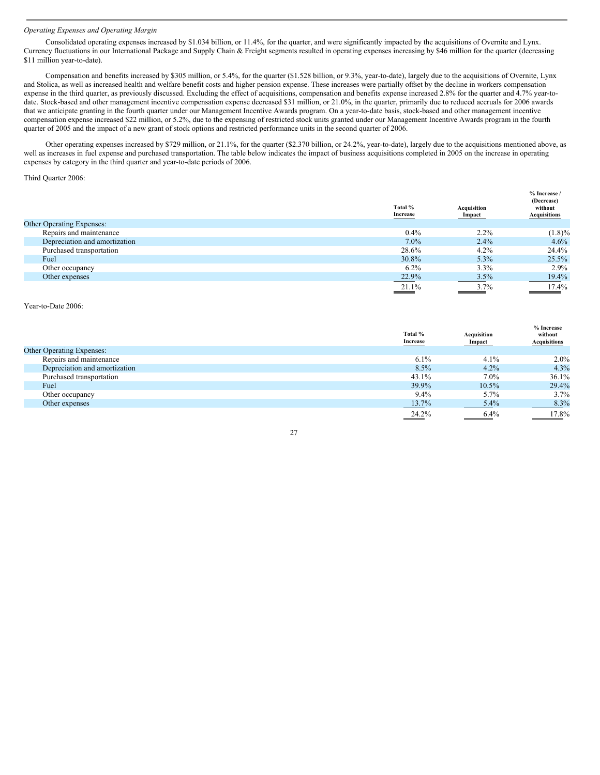#### *Operating Expenses and Operating Margin*

Consolidated operating expenses increased by \$1.034 billion, or 11.4%, for the quarter, and were significantly impacted by the acquisitions of Overnite and Lynx. Currency fluctuations in our International Package and Supply Chain & Freight segments resulted in operating expenses increasing by \$46 million for the quarter (decreasing \$11 million year-to-date).

Compensation and benefits increased by \$305 million, or 5.4%, for the quarter (\$1.528 billion, or 9.3%, year-to-date), largely due to the acquisitions of Overnite, Lynx and Stolica, as well as increased health and welfare benefit costs and higher pension expense. These increases were partially offset by the decline in workers compensation expense in the third quarter, as previously discussed. Excluding the effect of acquisitions, compensation and benefits expense increased 2.8% for the quarter and 4.7% year-todate. Stock-based and other management incentive compensation expense decreased \$31 million, or 21.0%, in the quarter, primarily due to reduced accruals for 2006 awards that we anticipate granting in the fourth quarter under our Management Incentive Awards program. On a year-to-date basis, stock-based and other management incentive compensation expense increased \$22 million, or 5.2%, due to the expensing of restricted stock units granted under our Management Incentive Awards program in the fourth quarter of 2005 and the impact of a new grant of stock options and restricted performance units in the second quarter of 2006.

Other operating expenses increased by \$729 million, or 21.1%, for the quarter (\$2.370 billion, or 24.2%, year-to-date), largely due to the acquisitions mentioned above, as well as increases in fuel expense and purchased transportation. The table below indicates the impact of business acquisitions completed in 2005 on the increase in operating expenses by category in the third quarter and year-to-date periods of 2006.

Third Quarter 2006:

|                               | Total %<br>Increase | Acquisition<br>Impact | % Increase /<br>(Decrease)<br>without<br>Acquisitions |
|-------------------------------|---------------------|-----------------------|-------------------------------------------------------|
| Other Operating Expenses:     |                     |                       |                                                       |
| Repairs and maintenance       | 0.4%                | $2.2\%$               | $(1.8)\%$                                             |
| Depreciation and amortization | $7.0\%$             | 2.4%                  | 4.6%                                                  |
| Purchased transportation      | 28.6%               | 4.2%                  | 24.4%                                                 |
| Fuel                          | 30.8%               | 5.3%                  | 25.5%                                                 |
| Other occupancy               | $6.2\%$             | 3.3%                  | 2.9%                                                  |
| Other expenses                | 22.9%               | 3.5%                  | 19.4%                                                 |
|                               | 21.1%               | 3.7%                  | 17.4%                                                 |

Year-to-Date 2006:

|                               | Total %<br>Increase | Acquisition<br>Impact | without<br><b>Acquisitions</b> |
|-------------------------------|---------------------|-----------------------|--------------------------------|
| Other Operating Expenses:     |                     |                       |                                |
| Repairs and maintenance       | $6.1\%$             | $4.1\%$               | $2.0\%$                        |
| Depreciation and amortization | 8.5%                | $4.2\%$               | 4.3%                           |
| Purchased transportation      | 43.1%               | $7.0\%$               | 36.1%                          |
| Fuel                          | 39.9%               | $10.5\%$              | 29.4%                          |
| Other occupancy               | $9.4\%$             | $5.7\%$               | $3.7\%$                        |
| Other expenses                | 13.7%               | 5.4%                  | 8.3%                           |
|                               | 24.2%               | 6.4%                  | 17.8%                          |

**% Increase**

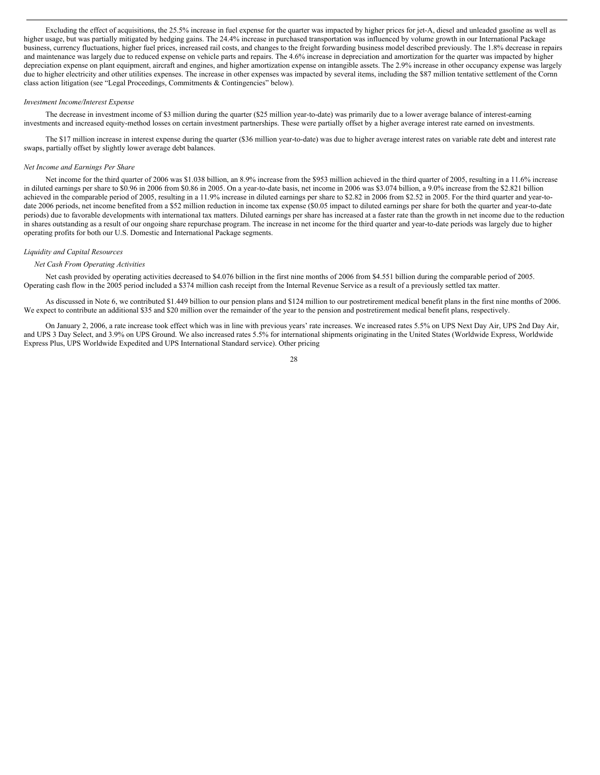Excluding the effect of acquisitions, the 25.5% increase in fuel expense for the quarter was impacted by higher prices for jet-A, diesel and unleaded gasoline as well as higher usage, but was partially mitigated by hedging gains. The 24.4% increase in purchased transportation was influenced by volume growth in our International Package business, currency fluctuations, higher fuel prices, increased rail costs, and changes to the freight forwarding business model described previously. The 1.8% decrease in repairs and maintenance was largely due to reduced expense on vehicle parts and repairs. The 4.6% increase in depreciation and amortization for the quarter was impacted by higher depreciation expense on plant equipment, aircraft and engines, and higher amortization expense on intangible assets. The 2.9% increase in other occupancy expense was largely due to higher electricity and other utilities expenses. The increase in other expenses was impacted by several items, including the \$87 million tentative settlement of the Cornn class action litigation (see "Legal Proceedings, Commitments & Contingencies" below).

#### *Investment Income/Interest Expense*

The decrease in investment income of \$3 million during the quarter (\$25 million year-to-date) was primarily due to a lower average balance of interest-earning investments and increased equity-method losses on certain investment partnerships. These were partially offset by a higher average interest rate earned on investments.

The \$17 million increase in interest expense during the quarter (\$36 million year-to-date) was due to higher average interest rates on variable rate debt and interest rate swaps, partially offset by slightly lower average debt balances.

#### *Net Income and Earnings Per Share*

Net income for the third quarter of 2006 was \$1.038 billion, an 8.9% increase from the \$953 million achieved in the third quarter of 2005, resulting in a 11.6% increase in diluted earnings per share to \$0.96 in 2006 from \$0.86 in 2005. On a year-to-date basis, net income in 2006 was \$3.074 billion, a 9.0% increase from the \$2.821 billion achieved in the comparable period of 2005, resulting in a 11.9% increase in diluted earnings per share to \$2.82 in 2006 from \$2.52 in 2005. For the third quarter and year-todate 2006 periods, net income benefited from a \$52 million reduction in income tax expense (\$0.05 impact to diluted earnings per share for both the quarter and year-to-date periods) due to favorable developments with international tax matters. Diluted earnings per share has increased at a faster rate than the growth in net income due to the reduction in shares outstanding as a result of our ongoing share repurchase program. The increase in net income for the third quarter and year-to-date periods was largely due to higher operating profits for both our U.S. Domestic and International Package segments.

#### *Liquidity and Capital Resources*

#### *Net Cash From Operating Activities*

Net cash provided by operating activities decreased to \$4.076 billion in the first nine months of 2006 from \$4.551 billion during the comparable period of 2005. Operating cash flow in the 2005 period included a \$374 million cash receipt from the Internal Revenue Service as a result of a previously settled tax matter.

As discussed in Note 6, we contributed \$1.449 billion to our pension plans and \$124 million to our postretirement medical benefit plans in the first nine months of 2006. We expect to contribute an additional \$35 and \$20 million over the remainder of the year to the pension and postretirement medical benefit plans, respectively.

On January 2, 2006, a rate increase took effect which was in line with previous years' rate increases. We increased rates 5.5% on UPS Next Day Air, UPS 2nd Day Air, and UPS 3 Day Select, and 3.9% on UPS Ground. We also increased rates 5.5% for international shipments originating in the United States (Worldwide Express, Worldwide Express Plus, UPS Worldwide Expedited and UPS International Standard service). Other pricing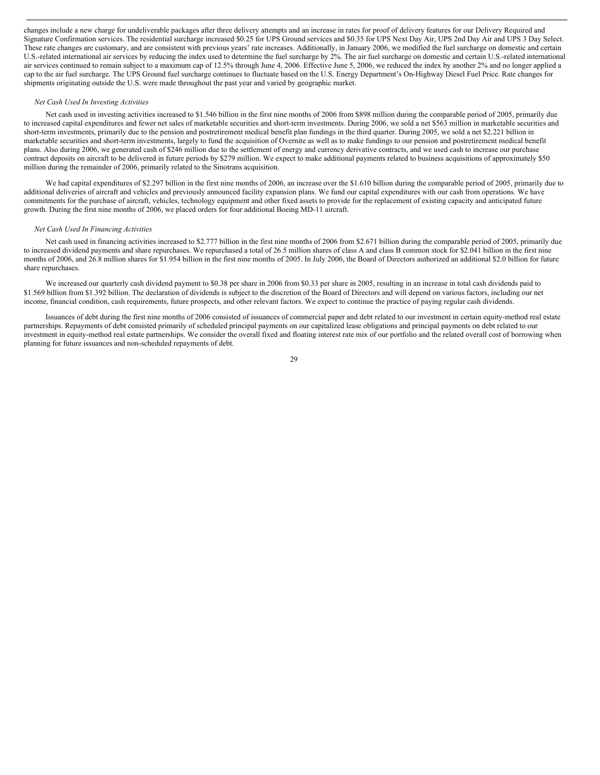changes include a new charge for undeliverable packages after three delivery attempts and an increase in rates for proof of delivery features for our Delivery Required and Signature Confirmation services. The residential surcharge increased \$0.25 for UPS Ground services and \$0.35 for UPS Next Day Air, UPS 2nd Day Air and UPS 3 Day Select. These rate changes are customary, and are consistent with previous years' rate increases. Additionally, in January 2006, we modified the fuel surcharge on domestic and certain U.S.-related international air services by reducing the index used to determine the fuel surcharge by 2%. The air fuel surcharge on domestic and certain U.S.-related international air services continued to remain subject to a maximum cap of 12.5% through June 4, 2006. Effective June 5, 2006, we reduced the index by another 2% and no longer applied a cap to the air fuel surcharge. The UPS Ground fuel surcharge continues to fluctuate based on the U.S. Energy Department's On-Highway Diesel Fuel Price. Rate changes for shipments originating outside the U.S. were made throughout the past year and varied by geographic market.

#### *Net Cash Used In Investing Activities*

Net cash used in investing activities increased to \$1.546 billion in the first nine months of 2006 from \$898 million during the comparable period of 2005, primarily due to increased capital expenditures and fewer net sales of marketable securities and short-term investments. During 2006, we sold a net \$563 million in marketable securities and short-term investments, primarily due to the pension and postretirement medical benefit plan fundings in the third quarter. During 2005, we sold a net \$2.221 billion in marketable securities and short-term investments, largely to fund the acquisition of Overnite as well as to make fundings to our pension and postretirement medical benefit plans. Also during 2006, we generated cash of \$246 million due to the settlement of energy and currency derivative contracts, and we used cash to increase our purchase contract deposits on aircraft to be delivered in future periods by \$279 million. We expect to make additional payments related to business acquisitions of approximately \$50 million during the remainder of 2006, primarily related to the Sinotrans acquisition.

We had capital expenditures of \$2.297 billion in the first nine months of 2006, an increase over the \$1.610 billion during the comparable period of 2005, primarily due to additional deliveries of aircraft and vehicles and previously announced facility expansion plans. We fund our capital expenditures with our cash from operations. We have commitments for the purchase of aircraft, vehicles, technology equipment and other fixed assets to provide for the replacement of existing capacity and anticipated future growth. During the first nine months of 2006, we placed orders for four additional Boeing MD-11 aircraft.

#### *Net Cash Used In Financing Activities*

Net cash used in financing activities increased to \$2.777 billion in the first nine months of 2006 from \$2.671 billion during the comparable period of 2005, primarily due to increased dividend payments and share repurchases. We repurchased a total of 26.5 million shares of class A and class B common stock for \$2.041 billion in the first nine months of 2006, and 26.8 million shares for \$1.954 billion in the first nine months of 2005. In July 2006, the Board of Directors authorized an additional \$2.0 billion for future share repurchases.

We increased our quarterly cash dividend payment to \$0.38 per share in 2006 from \$0.33 per share in 2005, resulting in an increase in total cash dividends paid to \$1.569 billion from \$1.392 billion. The declaration of dividends is subject to the discretion of the Board of Directors and will depend on various factors, including our net income, financial condition, cash requirements, future prospects, and other relevant factors. We expect to continue the practice of paying regular cash dividends.

Issuances of debt during the first nine months of 2006 consisted of issuances of commercial paper and debt related to our investment in certain equity-method real estate partnerships. Repayments of debt consisted primarily of scheduled principal payments on our capitalized lease obligations and principal payments on debt related to our investment in equity-method real estate partnerships. We consider the overall fixed and floating interest rate mix of our portfolio and the related overall cost of borrowing when planning for future issuances and non-scheduled repayments of debt.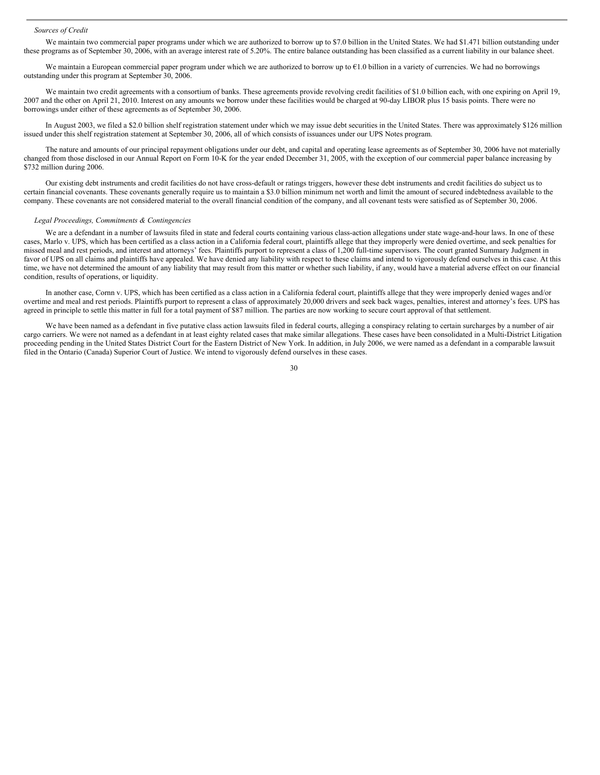#### *Sources of Credit*

We maintain two commercial paper programs under which we are authorized to borrow up to \$7.0 billion in the United States. We had \$1.471 billion outstanding under these programs as of September 30, 2006, with an average interest rate of 5.20%. The entire balance outstanding has been classified as a current liability in our balance sheet.

We maintain a European commercial paper program under which we are authorized to borrow up to  $E1.0$  billion in a variety of currencies. We had no borrowings outstanding under this program at September 30, 2006.

We maintain two credit agreements with a consortium of banks. These agreements provide revolving credit facilities of \$1.0 billion each, with one expiring on April 19, 2007 and the other on April 21, 2010. Interest on any amounts we borrow under these facilities would be charged at 90-day LIBOR plus 15 basis points. There were no borrowings under either of these agreements as of September 30, 2006.

In August 2003, we filed a \$2.0 billion shelf registration statement under which we may issue debt securities in the United States. There was approximately \$126 million issued under this shelf registration statement at September 30, 2006, all of which consists of issuances under our UPS Notes program.

The nature and amounts of our principal repayment obligations under our debt, and capital and operating lease agreements as of September 30, 2006 have not materially changed from those disclosed in our Annual Report on Form 10-K for the year ended December 31, 2005, with the exception of our commercial paper balance increasing by \$732 million during 2006.

Our existing debt instruments and credit facilities do not have cross-default or ratings triggers, however these debt instruments and credit facilities do subject us to certain financial covenants. These covenants generally require us to maintain a \$3.0 billion minimum net worth and limit the amount of secured indebtedness available to the company. These covenants are not considered material to the overall financial condition of the company, and all covenant tests were satisfied as of September 30, 2006.

#### *Legal Proceedings, Commitments & Contingencies*

We are a defendant in a number of lawsuits filed in state and federal courts containing various class-action allegations under state wage-and-hour laws. In one of these cases, Marlo v. UPS, which has been certified as a class action in a California federal court, plaintiffs allege that they improperly were denied overtime, and seek penalties for missed meal and rest periods, and interest and attorneys' fees. Plaintiffs purport to represent a class of 1,200 full-time supervisors. The court granted Summary Judgment in favor of UPS on all claims and plaintiffs have appealed. We have denied any liability with respect to these claims and intend to vigorously defend ourselves in this case. At this time, we have not determined the amount of any liability that may result from this matter or whether such liability, if any, would have a material adverse effect on our financial condition, results of operations, or liquidity.

In another case, Cornn v. UPS, which has been certified as a class action in a California federal court, plaintiffs allege that they were improperly denied wages and/or overtime and meal and rest periods. Plaintiffs purport to represent a class of approximately 20,000 drivers and seek back wages, penalties, interest and attorney's fees. UPS has agreed in principle to settle this matter in full for a total payment of \$87 million. The parties are now working to secure court approval of that settlement.

We have been named as a defendant in five putative class action lawsuits filed in federal courts, alleging a conspiracy relating to certain surcharges by a number of air cargo carriers. We were not named as a defendant in at least eighty related cases that make similar allegations. These cases have been consolidated in a Multi-District Litigation proceeding pending in the United States District Court for the Eastern District of New York. In addition, in July 2006, we were named as a defendant in a comparable lawsuit filed in the Ontario (Canada) Superior Court of Justice. We intend to vigorously defend ourselves in these cases.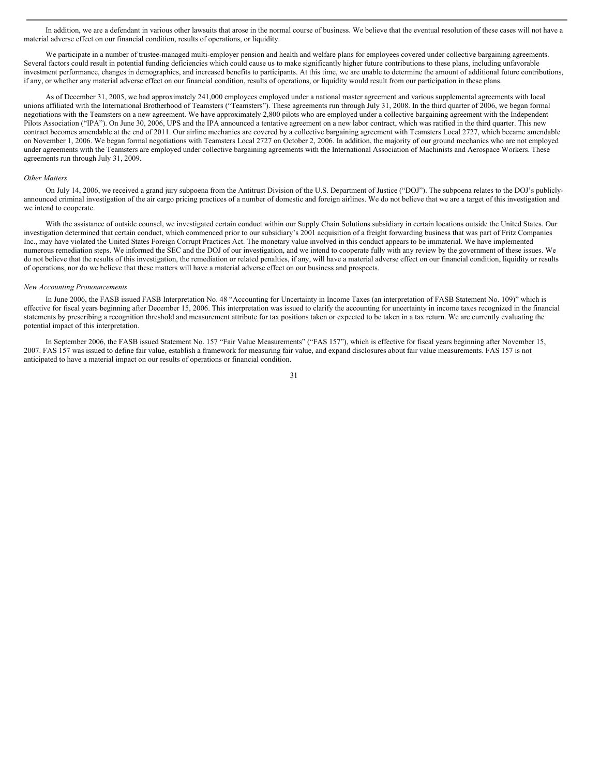In addition, we are a defendant in various other lawsuits that arose in the normal course of business. We believe that the eventual resolution of these cases will not have a material adverse effect on our financial condition, results of operations, or liquidity.

We participate in a number of trustee-managed multi-employer pension and health and welfare plans for employees covered under collective bargaining agreements. Several factors could result in potential funding deficiencies which could cause us to make significantly higher future contributions to these plans, including unfavorable investment performance, changes in demographics, and increased benefits to participants. At this time, we are unable to determine the amount of additional future contributions, if any, or whether any material adverse effect on our financial condition, results of operations, or liquidity would result from our participation in these plans.

As of December 31, 2005, we had approximately 241,000 employees employed under a national master agreement and various supplemental agreements with local unions affiliated with the International Brotherhood of Teamsters ("Teamsters"). These agreements run through July 31, 2008. In the third quarter of 2006, we began formal negotiations with the Teamsters on a new agreement. We have approximately 2,800 pilots who are employed under a collective bargaining agreement with the Independent Pilots Association ("IPA"). On June 30, 2006, UPS and the IPA announced a tentative agreement on a new labor contract, which was ratified in the third quarter. This new contract becomes amendable at the end of 2011. Our airline mechanics are covered by a collective bargaining agreement with Teamsters Local 2727, which became amendable on November 1, 2006. We began formal negotiations with Teamsters Local 2727 on October 2, 2006. In addition, the majority of our ground mechanics who are not employed under agreements with the Teamsters are employed under collective bargaining agreements with the International Association of Machinists and Aerospace Workers. These agreements run through July 31, 2009.

#### *Other Matters*

On July 14, 2006, we received a grand jury subpoena from the Antitrust Division of the U.S. Department of Justice ("DOJ"). The subpoena relates to the DOJ's publiclyannounced criminal investigation of the air cargo pricing practices of a number of domestic and foreign airlines. We do not believe that we are a target of this investigation and we intend to cooperate.

With the assistance of outside counsel, we investigated certain conduct within our Supply Chain Solutions subsidiary in certain locations outside the United States. Our investigation determined that certain conduct, which commenced prior to our subsidiary's 2001 acquisition of a freight forwarding business that was part of Fritz Companies Inc., may have violated the United States Foreign Corrupt Practices Act. The monetary value involved in this conduct appears to be immaterial. We have implemented numerous remediation steps. We informed the SEC and the DOJ of our investigation, and we intend to cooperate fully with any review by the government of these issues. We do not believe that the results of this investigation, the remediation or related penalties, if any, will have a material adverse effect on our financial condition, liquidity or results of operations, nor do we believe that these matters will have a material adverse effect on our business and prospects.

#### *New Accounting Pronouncements*

In June 2006, the FASB issued FASB Interpretation No. 48 "Accounting for Uncertainty in Income Taxes (an interpretation of FASB Statement No. 109)" which is effective for fiscal years beginning after December 15, 2006. This interpretation was issued to clarify the accounting for uncertainty in income taxes recognized in the financial statements by prescribing a recognition threshold and measurement attribute for tax positions taken or expected to be taken in a tax return. We are currently evaluating the potential impact of this interpretation.

In September 2006, the FASB issued Statement No. 157 "Fair Value Measurements" ("FAS 157"), which is effective for fiscal years beginning after November 15, 2007. FAS 157 was issued to define fair value, establish a framework for measuring fair value, and expand disclosures about fair value measurements. FAS 157 is not anticipated to have a material impact on our results of operations or financial condition.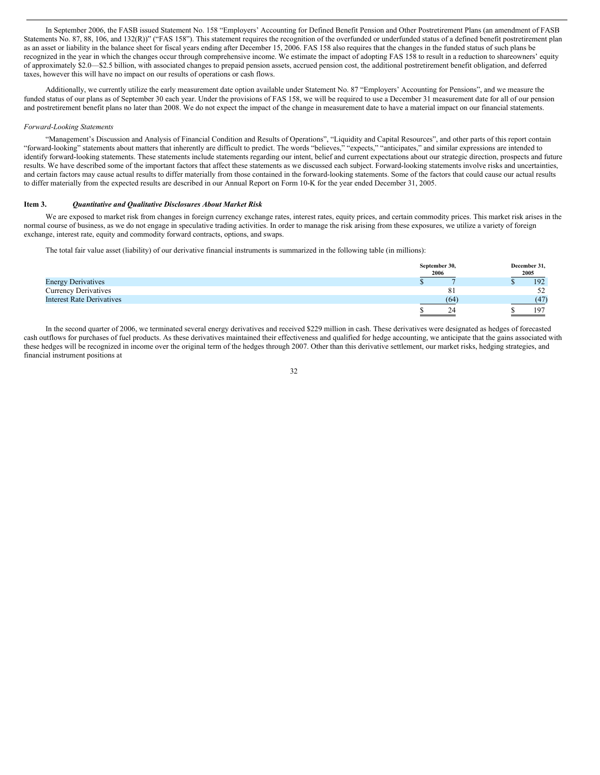In September 2006, the FASB issued Statement No. 158 "Employers' Accounting for Defined Benefit Pension and Other Postretirement Plans (an amendment of FASB Statements No. 87, 88, 106, and 132(R))" ("FAS 158"). This statement requires the recognition of the overfunded or underfunded status of a defined benefit postretirement plan as an asset or liability in the balance sheet for fiscal years ending after December 15, 2006. FAS 158 also requires that the changes in the funded status of such plans be recognized in the year in which the changes occur through comprehensive income. We estimate the impact of adopting FAS 158 to result in a reduction to shareowners' equity of approximately \$2.0—\$2.5 billion, with associated changes to prepaid pension assets, accrued pension cost, the additional postretirement benefit obligation, and deferred taxes, however this will have no impact on our results of operations or cash flows.

Additionally, we currently utilize the early measurement date option available under Statement No. 87 "Employers' Accounting for Pensions", and we measure the funded status of our plans as of September 30 each year. Under the provisions of FAS 158, we will be required to use a December 31 measurement date for all of our pension and postretirement benefit plans no later than 2008. We do not expect the impact of the change in measurement date to have a material impact on our financial statements.

#### *Forward-Looking Statements*

"Management's Discussion and Analysis of Financial Condition and Results of Operations", "Liquidity and Capital Resources", and other parts of this report contain "forward-looking" statements about matters that inherently are difficult to predict. The words "believes," "expects," "anticipates," and similar expressions are intended to identify forward-looking statements. These statements include statements regarding our intent, belief and current expectations about our strategic direction, prospects and future results. We have described some of the important factors that affect these statements as we discussed each subject. Forward-looking statements involve risks and uncertainties, and certain factors may cause actual results to differ materially from those contained in the forward-looking statements. Some of the factors that could cause our actual results to differ materially from the expected results are described in our Annual Report on Form 10-K for the year ended December 31, 2005.

#### **Item 3.** *Quantitative and Qualitative Disclosures About Market Risk*

We are exposed to market risk from changes in foreign currency exchange rates, interest rates, equity prices, and certain commodity prices. This market risk arises in the normal course of business, as we do not engage in speculative trading activities. In order to manage the risk arising from these exposures, we utilize a variety of foreign exchange, interest rate, equity and commodity forward contracts, options, and swaps.

The total fair value asset (liability) of our derivative financial instruments is summarized in the following table (in millions):

|                                  | September 30, | December 31, |  |
|----------------------------------|---------------|--------------|--|
|                                  | 2006          | 2005         |  |
| <b>Energy Derivatives</b>        |               | 192          |  |
| <b>Currency Derivatives</b>      | 81            | 52           |  |
| <b>Interest Rate Derivatives</b> | (64)          | (47)         |  |
|                                  | 24            | 197          |  |

In the second quarter of 2006, we terminated several energy derivatives and received \$229 million in cash. These derivatives were designated as hedges of forecasted cash outflows for purchases of fuel products. As these derivatives maintained their effectiveness and qualified for hedge accounting, we anticipate that the gains associated with these hedges will be recognized in income over the original term of the hedges through 2007. Other than this derivative settlement, our market risks, hedging strategies, and financial instrument positions at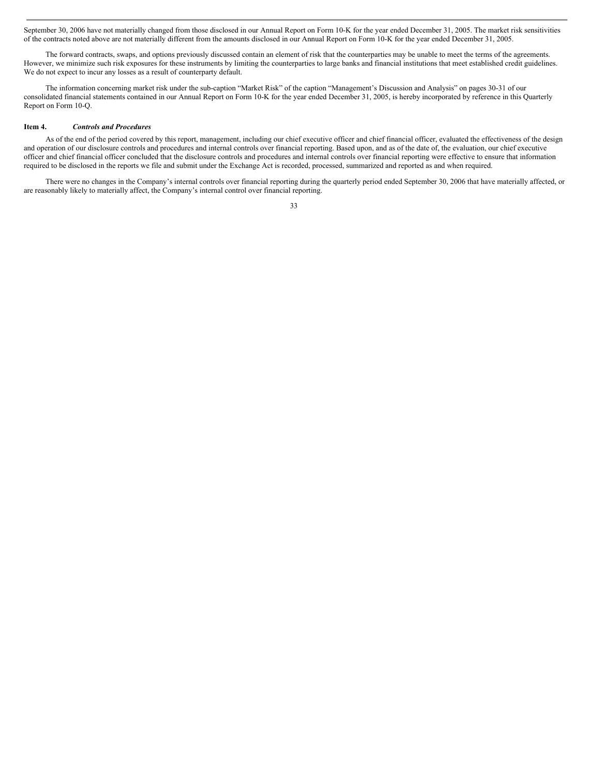September 30, 2006 have not materially changed from those disclosed in our Annual Report on Form 10-K for the year ended December 31, 2005. The market risk sensitivities of the contracts noted above are not materially different from the amounts disclosed in our Annual Report on Form 10-K for the year ended December 31, 2005.

The forward contracts, swaps, and options previously discussed contain an element of risk that the counterparties may be unable to meet the terms of the agreements. However, we minimize such risk exposures for these instruments by limiting the counterparties to large banks and financial institutions that meet established credit guidelines. We do not expect to incur any losses as a result of counterparty default.

The information concerning market risk under the sub-caption "Market Risk" of the caption "Management's Discussion and Analysis" on pages 30-31 of our consolidated financial statements contained in our Annual Report on Form 10-K for the year ended December 31, 2005, is hereby incorporated by reference in this Quarterly Report on Form 10-Q.

#### **Item 4.** *Controls and Procedures*

As of the end of the period covered by this report, management, including our chief executive officer and chief financial officer, evaluated the effectiveness of the design and operation of our disclosure controls and procedures and internal controls over financial reporting. Based upon, and as of the date of, the evaluation, our chief executive officer and chief financial officer concluded that the disclosure controls and procedures and internal controls over financial reporting were effective to ensure that information required to be disclosed in the reports we file and submit under the Exchange Act is recorded, processed, summarized and reported as and when required.

There were no changes in the Company's internal controls over financial reporting during the quarterly period ended September 30, 2006 that have materially affected, or are reasonably likely to materially affect, the Company's internal control over financial reporting.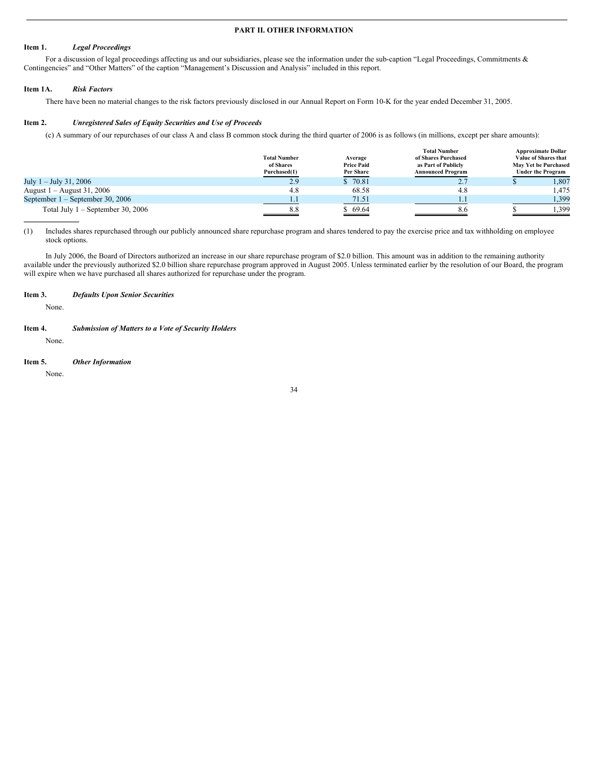### **PART II. OTHER INFORMATION**

### **Item 1.** *Legal Proceedings*

For a discussion of legal proceedings affecting us and our subsidiaries, please see the information under the sub-caption "Legal Proceedings, Commitments  $\&$ Contingencies" and "Other Matters" of the caption "Management's Discussion and Analysis" included in this report.

#### **Item 1A.** *Risk Factors*

There have been no material changes to the risk factors previously disclosed in our Annual Report on Form 10-K for the year ended December 31, 2005.

#### **Item 2.** *Unregistered Sales of Equity Securities and Use of Proceeds*

(c) A summary of our repurchases of our class A and class B common stock during the third quarter of 2006 is as follows (in millions, except per share amounts):

|                                     | <b>Total Number</b><br>of Shares<br>Purchased(1) | Average<br><b>Price Paid</b><br>Per Share | <b>Total Number</b><br>of Shares Purchased<br>as Part of Publicly<br><b>Announced Program</b> | <b>Approximate Dollar</b><br><b>Value of Shares that</b><br>May Yet be Purchased<br><b>Under the Program</b> |
|-------------------------------------|--------------------------------------------------|-------------------------------------------|-----------------------------------------------------------------------------------------------|--------------------------------------------------------------------------------------------------------------|
| July 1 – July 31, 2006              | 2.9                                              | \$ 70.81                                  | 2.7                                                                                           | 1,807                                                                                                        |
| August $1 -$ August 31, 2006        | 4.8                                              | 68.58                                     | 4.8                                                                                           | 1,475                                                                                                        |
| September $1 -$ September 30, 2006  |                                                  | 71.51                                     |                                                                                               | 1.399                                                                                                        |
| Total July $1 -$ September 30, 2006 | 8.8                                              | \$69.64                                   | 8.6                                                                                           | .399                                                                                                         |

(1) Includes shares repurchased through our publicly announced share repurchase program and shares tendered to pay the exercise price and tax withholding on employee stock options.

In July 2006, the Board of Directors authorized an increase in our share repurchase program of \$2.0 billion. This amount was in addition to the remaining authority available under the previously authorized \$2.0 billion share repurchase program approved in August 2005. Unless terminated earlier by the resolution of our Board, the program will expire when we have purchased all shares authorized for repurchase under the program.

#### **Item 3.** *Defaults Upon Senior Securities*

None.

### **Item 4.** *Submission of Matters to a Vote of Security Holders*

None.

#### **Item 5.** *Other Information*

None.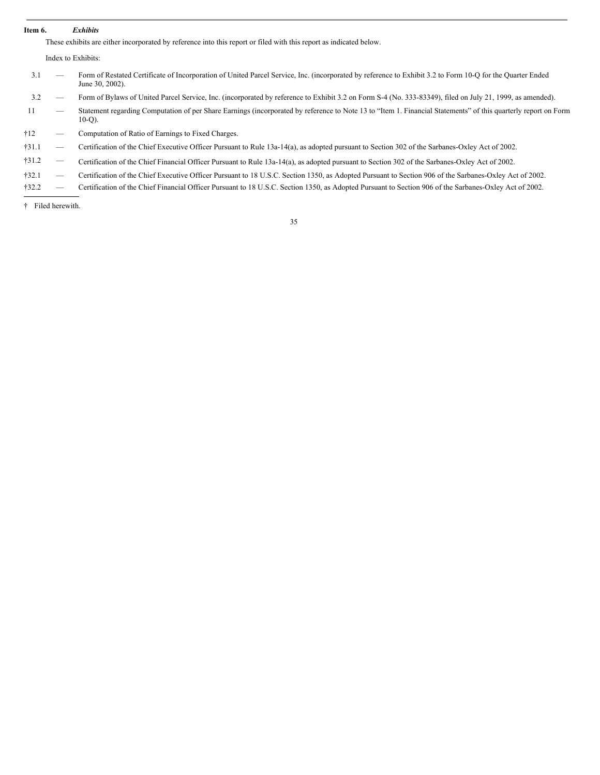#### **Item 6.** *Exhibits*

These exhibits are either incorporated by reference into this report or filed with this report as indicated below.

Index to Exhibits:

|  | Form of Restated Certificate of Incorporation of United Parcel Service, Inc. (incorporated by reference to Exhibit 3.2 to Form 10-Q for the Quarter Ended |
|--|-----------------------------------------------------------------------------------------------------------------------------------------------------------|
|  | June 30, 2002).                                                                                                                                           |

- 3.2 Form of Bylaws of United Parcel Service, Inc. (incorporated by reference to Exhibit 3.2 on Form S-4 (No. 333-83349), filed on July 21, 1999, as amended).
- 11 Statement regarding Computation of per Share Earnings (incorporated by reference to Note 13 to "Item 1. Financial Statements" of this quarterly report on Form 10-Q).

†12 — Computation of Ratio of Earnings to Fixed Charges.

- †31.1 Certification of the Chief Executive Officer Pursuant to Rule 13a-14(a), as adopted pursuant to Section 302 of the Sarbanes-Oxley Act of 2002.
- †31.2 Certification of the Chief Financial Officer Pursuant to Rule 13a-14(a), as adopted pursuant to Section 302 of the Sarbanes-Oxley Act of 2002.
- †32.1 Certification of the Chief Executive Officer Pursuant to 18 U.S.C. Section 1350, as Adopted Pursuant to Section 906 of the Sarbanes-Oxley Act of 2002.
- †32.2 Certification of the Chief Financial Officer Pursuant to 18 U.S.C. Section 1350, as Adopted Pursuant to Section 906 of the Sarbanes-Oxley Act of 2002.

† Filed herewith.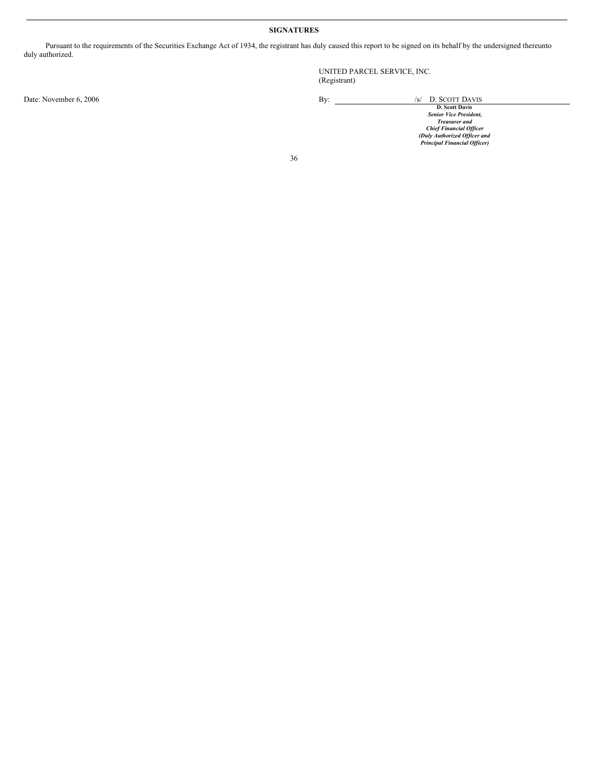### **SIGNATURES**

Pursuant to the requirements of the Securities Exchange Act of 1934, the registrant has duly caused this report to be signed on its behalf by the undersigned thereunto duly authorized.

Date: November 6, 2006 By:

UNITED PARCEL SERVICE, INC. (Registrant)

D. Scott Davis<br>
Senior Vice President,<br>
Treasurer and<br>
The Financial Officer<br>
(Duly Authorized Officer and<br>
Principal Financial Officer)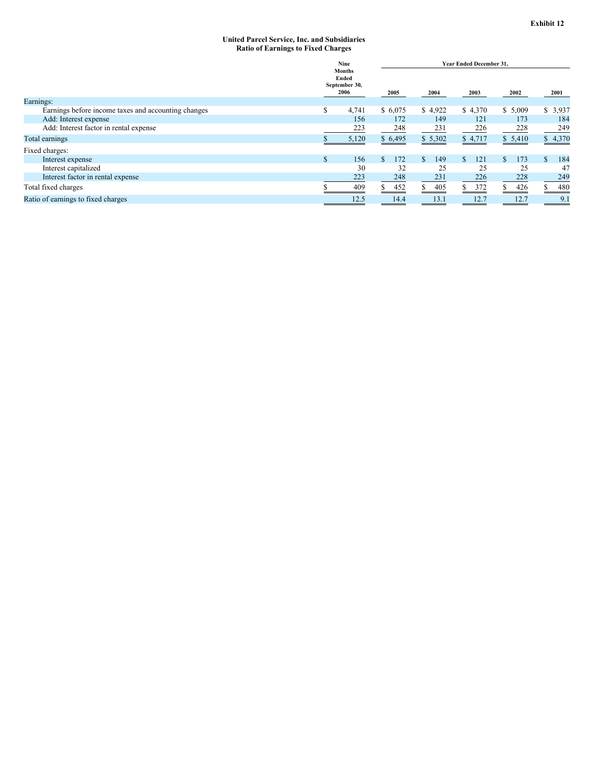#### **United Parcel Service, Inc. and Subsidiaries Ratio of Earnings to Fixed Charges**

|                                                     | <b>Nine</b><br><b>Months</b><br>Ended<br>September 30,<br>2006 |       | Year Ended December 31, |                      |                     |            |            |
|-----------------------------------------------------|----------------------------------------------------------------|-------|-------------------------|----------------------|---------------------|------------|------------|
|                                                     |                                                                |       | 2005                    | 2004                 | 2003                | 2002       | 2001       |
| Earnings:                                           |                                                                |       |                         |                      |                     |            |            |
| Earnings before income taxes and accounting changes | \$                                                             | 4,741 | \$6,075                 | \$4,922              | \$4,370             | \$5,009    | \$3,937    |
| Add: Interest expense                               |                                                                | 156   | 172                     | 149                  | 121                 | 173        | 184        |
| Add: Interest factor in rental expense              |                                                                | 223   | 248                     | 231                  | 226                 | 228        | 249        |
| Total earnings                                      |                                                                | 5,120 | \$6,495                 | \$5,302              | \$4,717             | \$5,410    | \$4,370    |
| Fixed charges:                                      |                                                                |       |                         |                      |                     |            |            |
| Interest expense                                    | $\mathbf{s}$                                                   | 156   | 172<br>\$.              | $\mathbf{s}$<br>149  | 121<br>$\mathbf{s}$ | 173<br>\$. | \$.<br>184 |
| Interest capitalized                                |                                                                | 30    | 32                      | 25                   | 25                  | 25         | 47         |
| Interest factor in rental expense                   |                                                                | 223   | 248                     | 231                  | 226                 | 228        | 249        |
| Total fixed charges                                 |                                                                | 409   | 452<br>ъ.               | 405<br>$\mathcal{L}$ | 372                 | 426        | 480<br>\$  |
| Ratio of earnings to fixed charges                  |                                                                | 12.5  | 14.4                    | 13.1                 | 12.7                | 12.7       | 9.1        |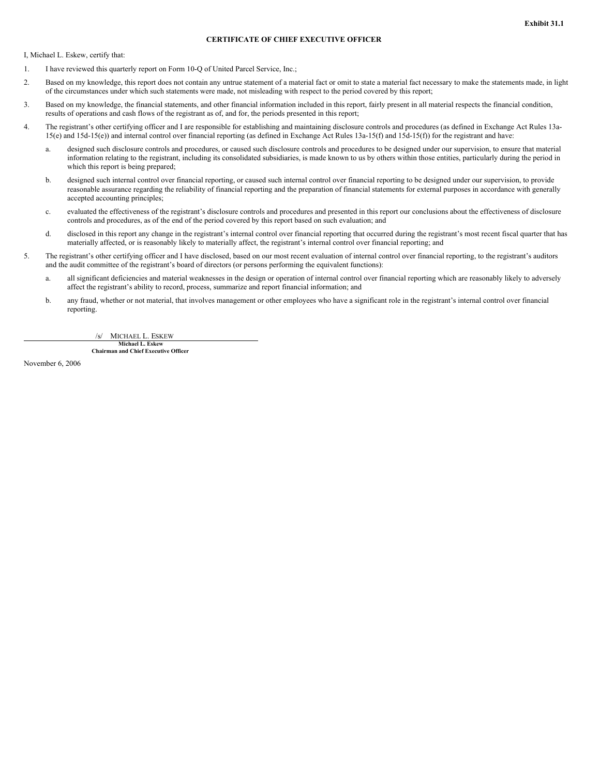### **CERTIFICATE OF CHIEF EXECUTIVE OFFICER**

I, Michael L. Eskew, certify that:

- 1. I have reviewed this quarterly report on Form 10-Q of United Parcel Service, Inc.;
- 2. Based on my knowledge, this report does not contain any untrue statement of a material fact or omit to state a material fact necessary to make the statements made, in light of the circumstances under which such statements were made, not misleading with respect to the period covered by this report;
- 3. Based on my knowledge, the financial statements, and other financial information included in this report, fairly present in all material respects the financial condition, results of operations and cash flows of the registrant as of, and for, the periods presented in this report;
- 4. The registrant's other certifying officer and I are responsible for establishing and maintaining disclosure controls and procedures (as defined in Exchange Act Rules 13a-15(e) and 15d-15(e)) and internal control over financial reporting (as defined in Exchange Act Rules 13a-15(f) and 15d-15(f)) for the registrant and have:
	- a. designed such disclosure controls and procedures, or caused such disclosure controls and procedures to be designed under our supervision, to ensure that material information relating to the registrant, including its consolidated subsidiaries, is made known to us by others within those entities, particularly during the period in which this report is being prepared;
	- b. designed such internal control over financial reporting, or caused such internal control over financial reporting to be designed under our supervision, to provide reasonable assurance regarding the reliability of financial reporting and the preparation of financial statements for external purposes in accordance with generally accepted accounting principles;
	- c. evaluated the effectiveness of the registrant's disclosure controls and procedures and presented in this report our conclusions about the effectiveness of disclosure controls and procedures, as of the end of the period covered by this report based on such evaluation; and
	- d. disclosed in this report any change in the registrant's internal control over financial reporting that occurred during the registrant's most recent fiscal quarter that has materially affected, or is reasonably likely to materially affect, the registrant's internal control over financial reporting; and
- 5. The registrant's other certifying officer and I have disclosed, based on our most recent evaluation of internal control over financial reporting, to the registrant's auditors and the audit committee of the registrant's board of directors (or persons performing the equivalent functions):
	- a. all significant deficiencies and material weaknesses in the design or operation of internal control over financial reporting which are reasonably likely to adversely affect the registrant's ability to record, process, summarize and report financial information; and
	- b. any fraud, whether or not material, that involves management or other employees who have a significant role in the registrant's internal control over financial reporting.

MICHAEL L. ESKEW

**Michael L. Eskew Chairman and Chief Executive Officer**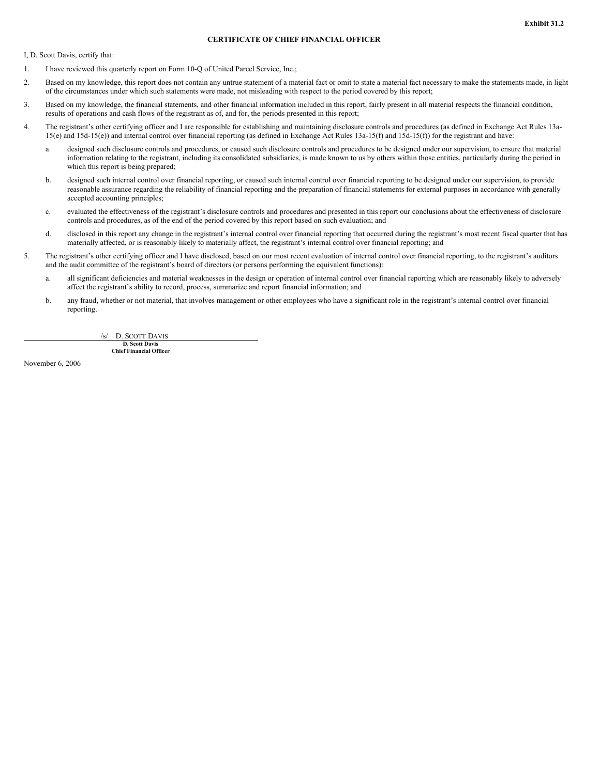#### **CERTIFICATE OF CHIEF FINANCIAL OFFICER**

I, D. Scott Davis, certify that:

- 1. I have reviewed this quarterly report on Form 10-Q of United Parcel Service, Inc.;
- 2. Based on my knowledge, this report does not contain any untrue statement of a material fact or omit to state a material fact necessary to make the statements made, in light of the circumstances under which such statements were made, not misleading with respect to the period covered by this report;
- 3. Based on my knowledge, the financial statements, and other financial information included in this report, fairly present in all material respects the financial condition, results of operations and cash flows of the registrant as of, and for, the periods presented in this report;
- 4. The registrant's other certifying officer and I are responsible for establishing and maintaining disclosure controls and procedures (as defined in Exchange Act Rules 13a-15(e) and 15d-15(e)) and internal control over financial reporting (as defined in Exchange Act Rules 13a-15(f) and 15d-15(f)) for the registrant and have:
	- a. designed such disclosure controls and procedures, or caused such disclosure controls and procedures to be designed under our supervision, to ensure that material information relating to the registrant, including its consolidated subsidiaries, is made known to us by others within those entities, particularly during the period in which this report is being prepared;
	- b. designed such internal control over financial reporting, or caused such internal control over financial reporting to be designed under our supervision, to provide reasonable assurance regarding the reliability of financial reporting and the preparation of financial statements for external purposes in accordance with generally accepted accounting principles;
	- c. evaluated the effectiveness of the registrant's disclosure controls and procedures and presented in this report our conclusions about the effectiveness of disclosure controls and procedures, as of the end of the period covered by this report based on such evaluation; and
	- d. disclosed in this report any change in the registrant's internal control over financial reporting that occurred during the registrant's most recent fiscal quarter that has materially affected, or is reasonably likely to materially affect, the registrant's internal control over financial reporting; and
- 5. The registrant's other certifying officer and I have disclosed, based on our most recent evaluation of internal control over financial reporting, to the registrant's auditors and the audit committee of the registrant's board of directors (or persons performing the equivalent functions):
	- a. all significant deficiencies and material weaknesses in the design or operation of internal control over financial reporting which are reasonably likely to adversely affect the registrant's ability to record, process, summarize and report financial information; and
	- b. any fraud, whether or not material, that involves management or other employees who have a significant role in the registrant's internal control over financial reporting.

/s/ D. SCOTT DAVIS

**D. Scott Davis Chief Financial Officer**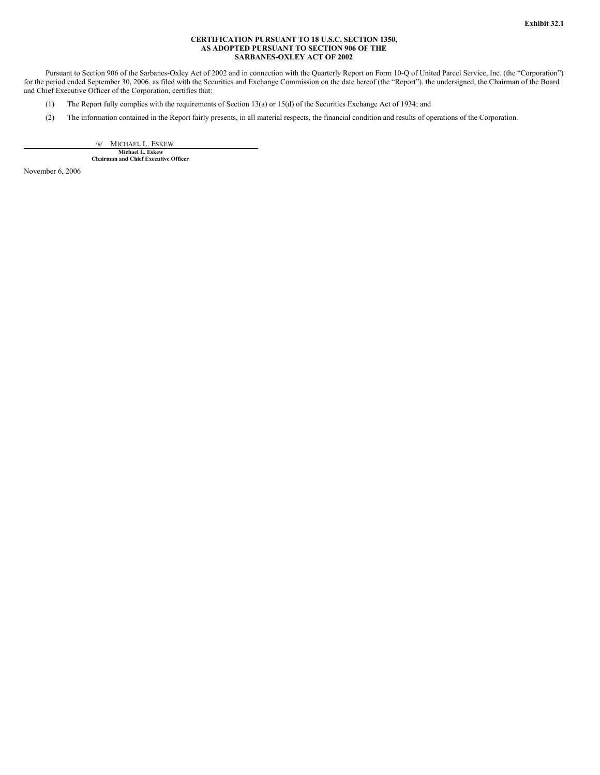#### **CERTIFICATION PURSUANT TO 18 U.S.C. SECTION 1350, AS ADOPTED PURSUANT TO SECTION 906 OF THE SARBANES-OXLEY ACT OF 2002**

Pursuant to Section 906 of the Sarbanes-Oxley Act of 2002 and in connection with the Quarterly Report on Form 10-Q of United Parcel Service, Inc. (the "Corporation") for the period ended September 30, 2006, as filed with the Securities and Exchange Commission on the date hereof (the "Report"), the undersigned, the Chairman of the Board and Chief Executive Officer of the Corporation, certifies that:

- (1) The Report fully complies with the requirements of Section 13(a) or 15(d) of the Securities Exchange Act of 1934; and
- (2) The information contained in the Report fairly presents, in all material respects, the financial condition and results of operations of the Corporation.

/s/ MICHAEL L. ESKEW **Michael L. Eskew**

**Chairman and Chief Executive Officer**